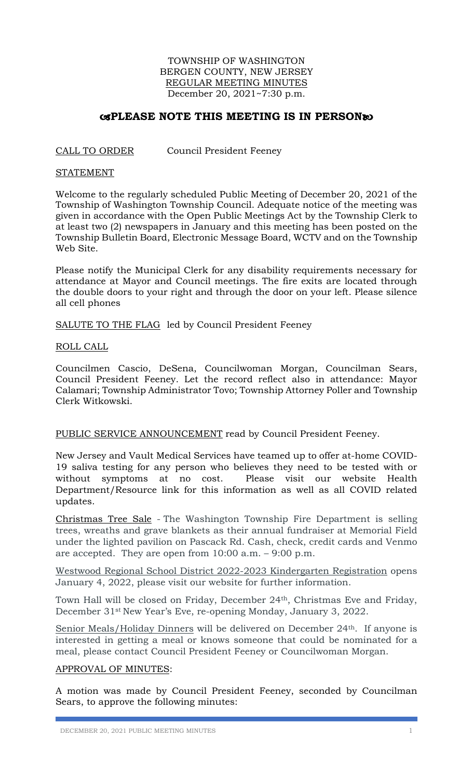## TOWNSHIP OF WASHINGTON BERGEN COUNTY, NEW JERSEY REGULAR MEETING MINUTES December 20, 2021~7:30 p.m.

# **EXPLEASE NOTE THIS MEETING IS IN PERSON®**

## CALL TO ORDER Council President Feeney

### STATEMENT

Welcome to the regularly scheduled Public Meeting of December 20, 2021 of the Township of Washington Township Council. Adequate notice of the meeting was given in accordance with the Open Public Meetings Act by the Township Clerk to at least two (2) newspapers in January and this meeting has been posted on the Township Bulletin Board, Electronic Message Board, WCTV and on the Township Web Site.

Please notify the Municipal Clerk for any disability requirements necessary for attendance at Mayor and Council meetings. The fire exits are located through the double doors to your right and through the door on your left. Please silence all cell phones

SALUTE TO THE FLAG led by Council President Feeney

## ROLL CALL

Councilmen Cascio, DeSena, Councilwoman Morgan, Councilman Sears, Council President Feeney. Let the record reflect also in attendance: Mayor Calamari; Township Administrator Tovo; Township Attorney Poller and Township Clerk Witkowski.

## PUBLIC SERVICE ANNOUNCEMENT read by Council President Feeney.

New Jersey and Vault Medical Services have teamed up to offer at-home COVID-19 saliva testing for any person who believes they need to be tested with or without symptoms at no cost. Please visit our website Health Department/Resource link for this information as well as all COVID related updates.

Christmas Tree Sale - The Washington Township Fire Department is selling trees, wreaths and grave blankets as their annual fundraiser at Memorial Field under the lighted pavilion on Pascack Rd. Cash, check, credit cards and Venmo are accepted. They are open from 10:00 a.m. – 9:00 p.m.

Westwood Regional School District 2022-2023 Kindergarten Registration opens January 4, 2022, please visit our website for further information.

Town Hall will be closed on Friday, December 24th, Christmas Eve and Friday, December 31st New Year's Eve, re-opening Monday, January 3, 2022.

Senior Meals/Holiday Dinners will be delivered on December 24<sup>th</sup>. If anyone is interested in getting a meal or knows someone that could be nominated for a meal, please contact Council President Feeney or Councilwoman Morgan.

## APPROVAL OF MINUTES:

A motion was made by Council President Feeney, seconded by Councilman Sears, to approve the following minutes: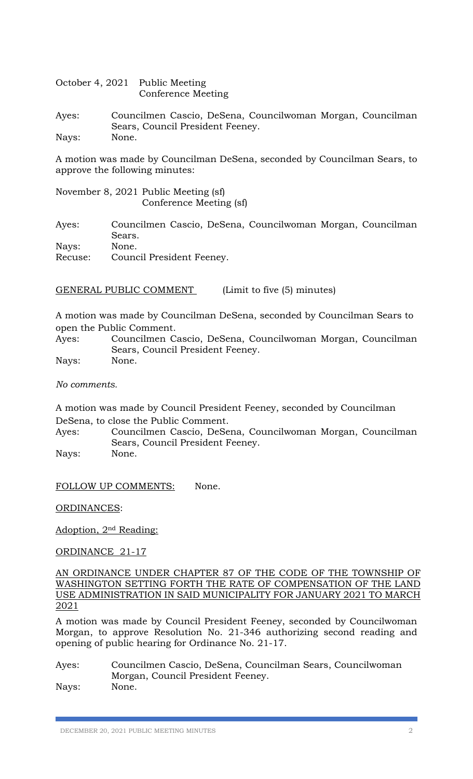October 4, 2021 Public Meeting Conference Meeting

Ayes: Councilmen Cascio, DeSena, Councilwoman Morgan, Councilman Sears, Council President Feeney. Nays: None.

A motion was made by Councilman DeSena, seconded by Councilman Sears, to approve the following minutes:

November 8, 2021 Public Meeting (sf) Conference Meeting (sf)

Ayes: Councilmen Cascio, DeSena, Councilwoman Morgan, Councilman Sears. Nays: None. Recuse: Council President Feeney.

GENERAL PUBLIC COMMENT (Limit to five (5) minutes)

A motion was made by Councilman DeSena, seconded by Councilman Sears to open the Public Comment.

Ayes: Councilmen Cascio, DeSena, Councilwoman Morgan, Councilman Sears, Council President Feeney.

Nays: None.

*No comments.* 

A motion was made by Council President Feeney, seconded by Councilman DeSena, to close the Public Comment.

Ayes: Councilmen Cascio, DeSena, Councilwoman Morgan, Councilman Sears, Council President Feeney.

Nays: None.

FOLLOW UP COMMENTS: None.

ORDINANCES:

Adoption, 2nd Reading:

ORDINANCE 21-17

AN ORDINANCE UNDER CHAPTER 87 OF THE CODE OF THE TOWNSHIP OF WASHINGTON SETTING FORTH THE RATE OF COMPENSATION OF THE LAND USE ADMINISTRATION IN SAID MUNICIPALITY FOR JANUARY 2021 TO MARCH 2021

A motion was made by Council President Feeney, seconded by Councilwoman Morgan, to approve Resolution No. 21-346 authorizing second reading and opening of public hearing for Ordinance No. 21-17.

Ayes: Councilmen Cascio, DeSena, Councilman Sears, Councilwoman Morgan, Council President Feeney. Nays: None.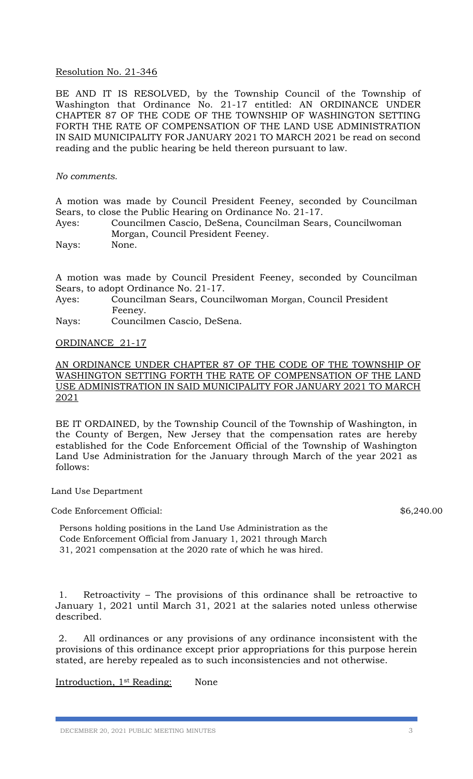## Resolution No. 21-346

BE AND IT IS RESOLVED, by the Township Council of the Township of Washington that Ordinance No. 21-17 entitled: AN ORDINANCE UNDER CHAPTER 87 OF THE CODE OF THE TOWNSHIP OF WASHINGTON SETTING FORTH THE RATE OF COMPENSATION OF THE LAND USE ADMINISTRATION IN SAID MUNICIPALITY FOR JANUARY 2021 TO MARCH 2021 be read on second reading and the public hearing be held thereon pursuant to law.

### *No comments.*

A motion was made by Council President Feeney, seconded by Councilman Sears, to close the Public Hearing on Ordinance No. 21-17.

Ayes: Councilmen Cascio, DeSena, Councilman Sears, Councilwoman Morgan, Council President Feeney.

Nays: None.

A motion was made by Council President Feeney, seconded by Councilman Sears, to adopt Ordinance No. 21-17.

- Ayes: Councilman Sears, Councilwoman Morgan, Council President Feeney.
- Nays: Councilmen Cascio, DeSena.

#### ORDINANCE 21-17

## AN ORDINANCE UNDER CHAPTER 87 OF THE CODE OF THE TOWNSHIP OF WASHINGTON SETTING FORTH THE RATE OF COMPENSATION OF THE LAND USE ADMINISTRATION IN SAID MUNICIPALITY FOR JANUARY 2021 TO MARCH 2021

BE IT ORDAINED, by the Township Council of the Township of Washington, in the County of Bergen, New Jersey that the compensation rates are hereby established for the Code Enforcement Official of the Township of Washington Land Use Administration for the January through March of the year 2021 as follows:

Land Use Department

Code Enforcement Official: \$6,240.00

Persons holding positions in the Land Use Administration as the Code Enforcement Official from January 1, 2021 through March 31, 2021 compensation at the 2020 rate of which he was hired.

1. Retroactivity – The provisions of this ordinance shall be retroactive to January 1, 2021 until March 31, 2021 at the salaries noted unless otherwise described.

2. All ordinances or any provisions of any ordinance inconsistent with the provisions of this ordinance except prior appropriations for this purpose herein stated, are hereby repealed as to such inconsistencies and not otherwise.

Introduction, 1st Reading: None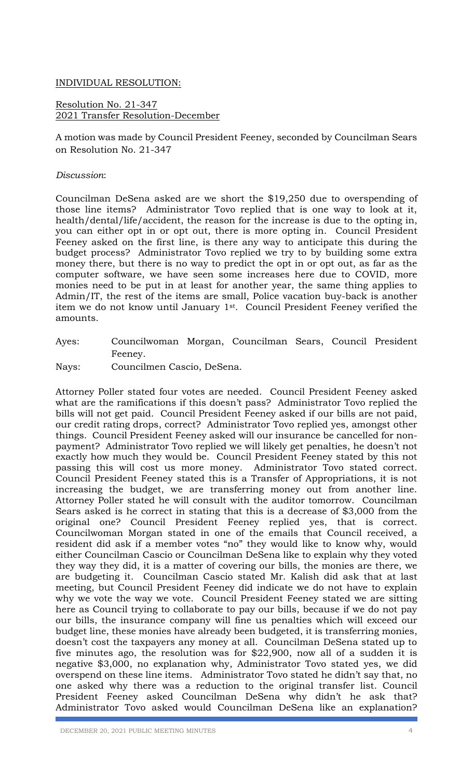## INDIVIDUAL RESOLUTION:

Resolution No. 21-347 2021 Transfer Resolution-December

A motion was made by Council President Feeney, seconded by Councilman Sears on Resolution No. 21-347

## *Discussion*:

Councilman DeSena asked are we short the \$19,250 due to overspending of those line items? Administrator Tovo replied that is one way to look at it, health/dental/life/accident, the reason for the increase is due to the opting in, you can either opt in or opt out, there is more opting in. Council President Feeney asked on the first line, is there any way to anticipate this during the budget process? Administrator Tovo replied we try to by building some extra money there, but there is no way to predict the opt in or opt out, as far as the computer software, we have seen some increases here due to COVID, more monies need to be put in at least for another year, the same thing applies to Admin/IT, the rest of the items are small, Police vacation buy-back is another item we do not know until January 1st. Council President Feeney verified the amounts.

Ayes: Councilwoman Morgan, Councilman Sears, Council President Feeney.

Nays: Councilmen Cascio, DeSena.

Attorney Poller stated four votes are needed. Council President Feeney asked what are the ramifications if this doesn't pass? Administrator Tovo replied the bills will not get paid. Council President Feeney asked if our bills are not paid, our credit rating drops, correct? Administrator Tovo replied yes, amongst other things. Council President Feeney asked will our insurance be cancelled for nonpayment? Administrator Tovo replied we will likely get penalties, he doesn't not exactly how much they would be. Council President Feeney stated by this not passing this will cost us more money. Administrator Tovo stated correct. Council President Feeney stated this is a Transfer of Appropriations, it is not increasing the budget, we are transferring money out from another line. Attorney Poller stated he will consult with the auditor tomorrow. Councilman Sears asked is he correct in stating that this is a decrease of \$3,000 from the original one? Council President Feeney replied yes, that is correct. Councilwoman Morgan stated in one of the emails that Council received, a resident did ask if a member votes "no" they would like to know why, would either Councilman Cascio or Councilman DeSena like to explain why they voted they way they did, it is a matter of covering our bills, the monies are there, we are budgeting it. Councilman Cascio stated Mr. Kalish did ask that at last meeting, but Council President Feeney did indicate we do not have to explain why we vote the way we vote. Council President Feeney stated we are sitting here as Council trying to collaborate to pay our bills, because if we do not pay our bills, the insurance company will fine us penalties which will exceed our budget line, these monies have already been budgeted, it is transferring monies, doesn't cost the taxpayers any money at all. Councilman DeSena stated up to five minutes ago, the resolution was for \$22,900, now all of a sudden it is negative \$3,000, no explanation why, Administrator Tovo stated yes, we did overspend on these line items. Administrator Tovo stated he didn't say that, no one asked why there was a reduction to the original transfer list. Council President Feeney asked Councilman DeSena why didn't he ask that? Administrator Tovo asked would Councilman DeSena like an explanation?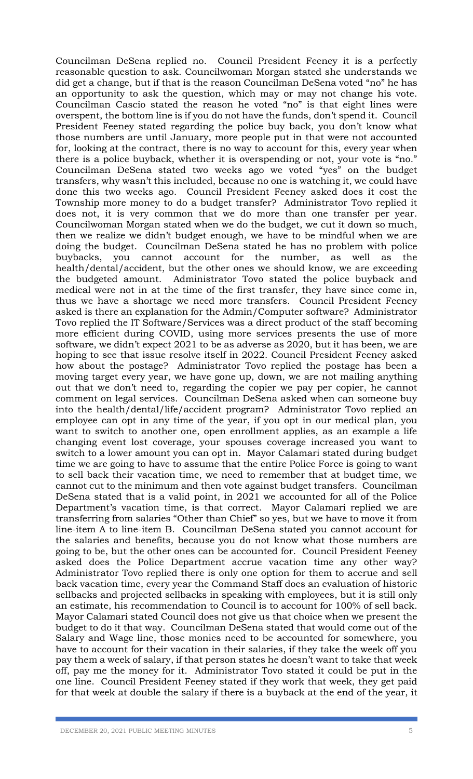Councilman DeSena replied no. Council President Feeney it is a perfectly reasonable question to ask. Councilwoman Morgan stated she understands we did get a change, but if that is the reason Councilman DeSena voted "no" he has an opportunity to ask the question, which may or may not change his vote. Councilman Cascio stated the reason he voted "no" is that eight lines were overspent, the bottom line is if you do not have the funds, don't spend it. Council President Feeney stated regarding the police buy back, you don't know what those numbers are until January, more people put in that were not accounted for, looking at the contract, there is no way to account for this, every year when there is a police buyback, whether it is overspending or not, your vote is "no." Councilman DeSena stated two weeks ago we voted "yes" on the budget transfers, why wasn't this included, because no one is watching it, we could have done this two weeks ago. Council President Feeney asked does it cost the Township more money to do a budget transfer? Administrator Tovo replied it does not, it is very common that we do more than one transfer per year. Councilwoman Morgan stated when we do the budget, we cut it down so much, then we realize we didn't budget enough, we have to be mindful when we are doing the budget. Councilman DeSena stated he has no problem with police buybacks, you cannot account for the number, as well as the health/dental/accident, but the other ones we should know, we are exceeding the budgeted amount. Administrator Tovo stated the police buyback and medical were not in at the time of the first transfer, they have since come in, thus we have a shortage we need more transfers. Council President Feeney asked is there an explanation for the Admin/Computer software? Administrator Tovo replied the IT Software/Services was a direct product of the staff becoming more efficient during COVID, using more services presents the use of more software, we didn't expect 2021 to be as adverse as 2020, but it has been, we are hoping to see that issue resolve itself in 2022. Council President Feeney asked how about the postage? Administrator Tovo replied the postage has been a moving target every year, we have gone up, down, we are not mailing anything out that we don't need to, regarding the copier we pay per copier, he cannot comment on legal services. Councilman DeSena asked when can someone buy into the health/dental/life/accident program? Administrator Tovo replied an employee can opt in any time of the year, if you opt in our medical plan, you want to switch to another one, open enrollment applies, as an example a life changing event lost coverage, your spouses coverage increased you want to switch to a lower amount you can opt in. Mayor Calamari stated during budget time we are going to have to assume that the entire Police Force is going to want to sell back their vacation time, we need to remember that at budget time, we cannot cut to the minimum and then vote against budget transfers. Councilman DeSena stated that is a valid point, in 2021 we accounted for all of the Police Department's vacation time, is that correct. Mayor Calamari replied we are transferring from salaries "Other than Chief" so yes, but we have to move it from line-item A to line-item B. Councilman DeSena stated you cannot account for the salaries and benefits, because you do not know what those numbers are going to be, but the other ones can be accounted for. Council President Feeney asked does the Police Department accrue vacation time any other way? Administrator Tovo replied there is only one option for them to accrue and sell back vacation time, every year the Command Staff does an evaluation of historic sellbacks and projected sellbacks in speaking with employees, but it is still only an estimate, his recommendation to Council is to account for 100% of sell back. Mayor Calamari stated Council does not give us that choice when we present the budget to do it that way. Councilman DeSena stated that would come out of the Salary and Wage line, those monies need to be accounted for somewhere, you have to account for their vacation in their salaries, if they take the week off you pay them a week of salary, if that person states he doesn't want to take that week off, pay me the money for it. Administrator Tovo stated it could be put in the one line. Council President Feeney stated if they work that week, they get paid for that week at double the salary if there is a buyback at the end of the year, it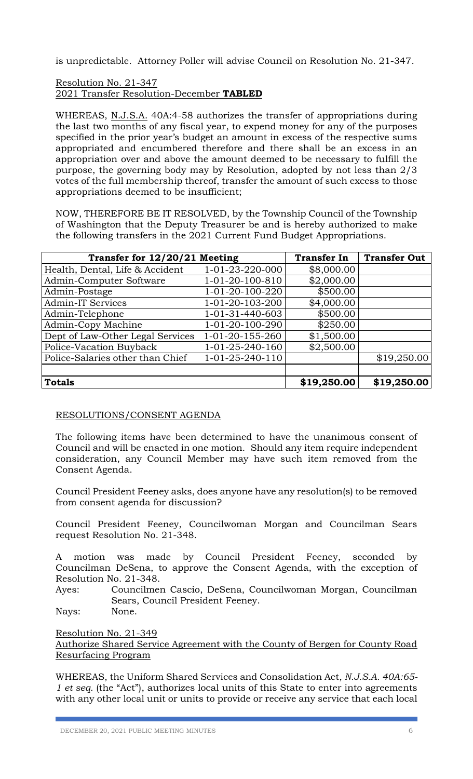is unpredictable. Attorney Poller will advise Council on Resolution No. 21-347.

## Resolution No. 21-347 2021 Transfer Resolution-December **TABLED**

WHEREAS, N.J.S.A. 40A:4-58 authorizes the transfer of appropriations during the last two months of any fiscal year, to expend money for any of the purposes specified in the prior year's budget an amount in excess of the respective sums appropriated and encumbered therefore and there shall be an excess in an appropriation over and above the amount deemed to be necessary to fulfill the purpose, the governing body may by Resolution, adopted by not less than 2/3 votes of the full membership thereof, transfer the amount of such excess to those appropriations deemed to be insufficient;

NOW, THEREFORE BE IT RESOLVED, by the Township Council of the Township of Washington that the Deputy Treasurer be and is hereby authorized to make the following transfers in the 2021 Current Fund Budget Appropriations.

| Transfer for 12/20/21 Meeting    |                           | <b>Transfer In</b> | <b>Transfer Out</b> |
|----------------------------------|---------------------------|--------------------|---------------------|
| Health, Dental, Life & Accident  | 1-01-23-220-000           | \$8,000.00         |                     |
| Admin-Computer Software          | 1-01-20-100-810           | \$2,000.00         |                     |
| Admin-Postage                    | 1-01-20-100-220           | \$500.00           |                     |
| <b>Admin-IT Services</b>         | 1-01-20-103-200           | \$4,000.00         |                     |
| Admin-Telephone                  | 1-01-31-440-603           | \$500.00           |                     |
| Admin-Copy Machine               | 1-01-20-100-290           | \$250.00           |                     |
| Dept of Law-Other Legal Services | 1-01-20-155-260           | \$1,500.00         |                     |
| Police-Vacation Buyback          | 1-01-25-240-160           | \$2,500.00         |                     |
| Police-Salaries other than Chief | $1 - 01 - 25 - 240 - 110$ |                    | \$19,250.00         |
|                                  |                           |                    |                     |
| <b>Totals</b>                    |                           | \$19,250.00        | \$19,250.00         |

# RESOLUTIONS/CONSENT AGENDA

The following items have been determined to have the unanimous consent of Council and will be enacted in one motion. Should any item require independent consideration, any Council Member may have such item removed from the Consent Agenda.

Council President Feeney asks, does anyone have any resolution(s) to be removed from consent agenda for discussion?

Council President Feeney, Councilwoman Morgan and Councilman Sears request Resolution No. 21-348.

A motion was made by Council President Feeney, seconded by Councilman DeSena, to approve the Consent Agenda, with the exception of Resolution No. 21-348.

Ayes: Councilmen Cascio, DeSena, Councilwoman Morgan, Councilman Sears, Council President Feeney.

Nays: None.

Resolution No. 21-349 Authorize Shared Service Agreement with the County of Bergen for County Road Resurfacing Program

WHEREAS, the Uniform Shared Services and Consolidation Act, *N.J.S.A. 40A:65- 1 et seq.* (the "Act"), authorizes local units of this State to enter into agreements with any other local unit or units to provide or receive any service that each local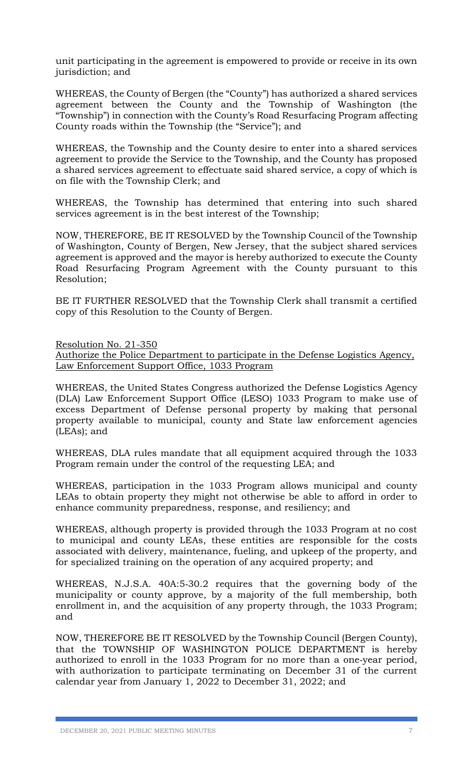unit participating in the agreement is empowered to provide or receive in its own jurisdiction; and

WHEREAS, the County of Bergen (the "County") has authorized a shared services agreement between the County and the Township of Washington (the "Township") in connection with the County's Road Resurfacing Program affecting County roads within the Township (the "Service"); and

WHEREAS, the Township and the County desire to enter into a shared services agreement to provide the Service to the Township, and the County has proposed a shared services agreement to effectuate said shared service, a copy of which is on file with the Township Clerk; and

WHEREAS, the Township has determined that entering into such shared services agreement is in the best interest of the Township;

NOW, THEREFORE, BE IT RESOLVED by the Township Council of the Township of Washington, County of Bergen, New Jersey, that the subject shared services agreement is approved and the mayor is hereby authorized to execute the County Road Resurfacing Program Agreement with the County pursuant to this Resolution;

BE IT FURTHER RESOLVED that the Township Clerk shall transmit a certified copy of this Resolution to the County of Bergen.

## Resolution No. 21-350

Authorize the Police Department to participate in the Defense Logistics Agency, Law Enforcement Support Office, 1033 Program

WHEREAS, the United States Congress authorized the Defense Logistics Agency (DLA) Law Enforcement Support Office (LESO) 1033 Program to make use of excess Department of Defense personal property by making that personal property available to municipal, county and State law enforcement agencies (LEAs); and

WHEREAS, DLA rules mandate that all equipment acquired through the 1033 Program remain under the control of the requesting LEA; and

WHEREAS, participation in the 1033 Program allows municipal and county LEAs to obtain property they might not otherwise be able to afford in order to enhance community preparedness, response, and resiliency; and

WHEREAS, although property is provided through the 1033 Program at no cost to municipal and county LEAs, these entities are responsible for the costs associated with delivery, maintenance, fueling, and upkeep of the property, and for specialized training on the operation of any acquired property; and

WHEREAS, N.J.S.A. 40A:5‐30.2 requires that the governing body of the municipality or county approve, by a majority of the full membership, both enrollment in, and the acquisition of any property through, the 1033 Program; and

NOW, THEREFORE BE IT RESOLVED by the Township Council (Bergen County), that the TOWNSHIP OF WASHINGTON POLICE DEPARTMENT is hereby authorized to enroll in the 1033 Program for no more than a one‐year period, with authorization to participate terminating on December 31 of the current calendar year from January 1, 2022 to December 31, 2022; and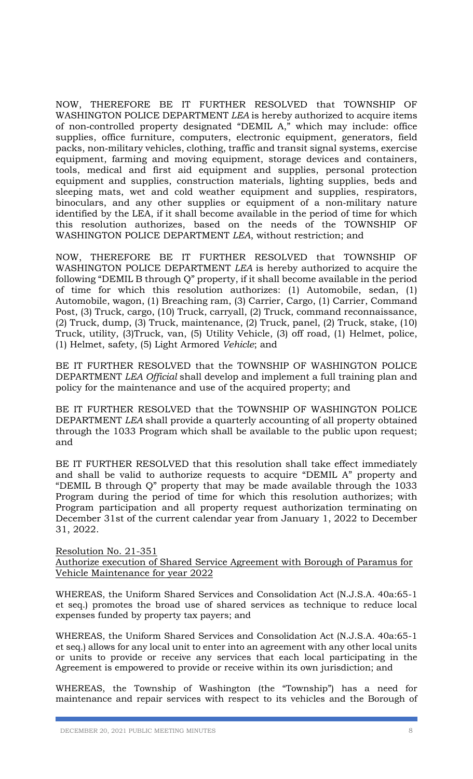NOW, THEREFORE BE IT FURTHER RESOLVED that TOWNSHIP OF WASHINGTON POLICE DEPARTMENT *LEA* is hereby authorized to acquire items of non‐controlled property designated "DEMIL A," which may include: office supplies, office furniture, computers, electronic equipment, generators, field packs, non‐military vehicles, clothing, traffic and transit signal systems, exercise equipment, farming and moving equipment, storage devices and containers, tools, medical and first aid equipment and supplies, personal protection equipment and supplies, construction materials, lighting supplies, beds and sleeping mats, wet and cold weather equipment and supplies, respirators, binoculars, and any other supplies or equipment of a non‐military nature identified by the LEA, if it shall become available in the period of time for which this resolution authorizes, based on the needs of the TOWNSHIP OF WASHINGTON POLICE DEPARTMENT *LEA*, without restriction; and

NOW, THEREFORE BE IT FURTHER RESOLVED that TOWNSHIP OF WASHINGTON POLICE DEPARTMENT *LEA* is hereby authorized to acquire the following "DEMIL B through Q" property, if it shall become available in the period of time for which this resolution authorizes: (1) Automobile, sedan, (1) Automobile, wagon, (1) Breaching ram, (3) Carrier, Cargo, (1) Carrier, Command Post, (3) Truck, cargo, (10) Truck, carryall, (2) Truck, command reconnaissance, (2) Truck, dump, (3) Truck, maintenance, (2) Truck, panel, (2) Truck, stake, (10) Truck, utility, (3)Truck, van, (5) Utility Vehicle, (3) off road, (1) Helmet, police, (1) Helmet, safety, (5) Light Armored *Vehicle*; and

BE IT FURTHER RESOLVED that the TOWNSHIP OF WASHINGTON POLICE DEPARTMENT *LEA Official* shall develop and implement a full training plan and policy for the maintenance and use of the acquired property; and

BE IT FURTHER RESOLVED that the TOWNSHIP OF WASHINGTON POLICE DEPARTMENT *LEA* shall provide a quarterly accounting of all property obtained through the 1033 Program which shall be available to the public upon request; and

BE IT FURTHER RESOLVED that this resolution shall take effect immediately and shall be valid to authorize requests to acquire "DEMIL A" property and "DEMIL B through Q" property that may be made available through the 1033 Program during the period of time for which this resolution authorizes; with Program participation and all property request authorization terminating on December 31st of the current calendar year from January 1, 2022 to December 31, 2022.

## Resolution No. 21-351 Authorize execution of Shared Service Agreement with Borough of Paramus for Vehicle Maintenance for year 2022

WHEREAS, the Uniform Shared Services and Consolidation Act (N.J.S.A. 40a:65-1 et seq.) promotes the broad use of shared services as technique to reduce local expenses funded by property tax payers; and

WHEREAS, the Uniform Shared Services and Consolidation Act (N.J.S.A. 40a:65-1 et seq.) allows for any local unit to enter into an agreement with any other local units or units to provide or receive any services that each local participating in the Agreement is empowered to provide or receive within its own jurisdiction; and

WHEREAS, the Township of Washington (the "Township") has a need for maintenance and repair services with respect to its vehicles and the Borough of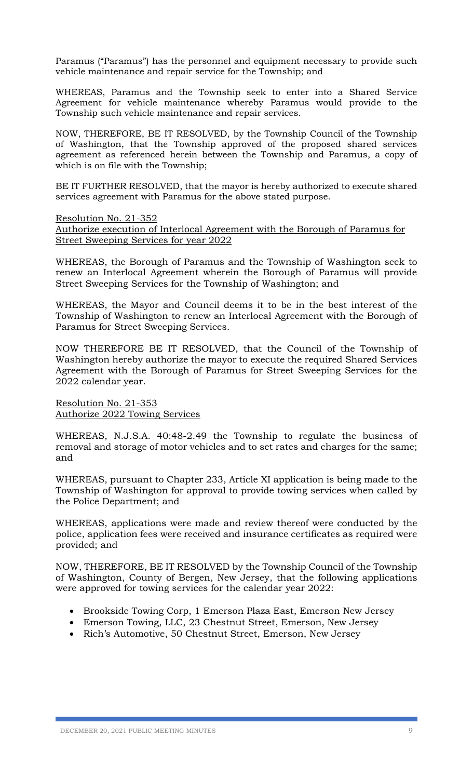Paramus ("Paramus") has the personnel and equipment necessary to provide such vehicle maintenance and repair service for the Township; and

WHEREAS, Paramus and the Township seek to enter into a Shared Service Agreement for vehicle maintenance whereby Paramus would provide to the Township such vehicle maintenance and repair services.

NOW, THEREFORE, BE IT RESOLVED, by the Township Council of the Township of Washington, that the Township approved of the proposed shared services agreement as referenced herein between the Township and Paramus, a copy of which is on file with the Township;

BE IT FURTHER RESOLVED, that the mayor is hereby authorized to execute shared services agreement with Paramus for the above stated purpose.

Resolution No. 21-352

Authorize execution of Interlocal Agreement with the Borough of Paramus for Street Sweeping Services for year 2022

WHEREAS, the Borough of Paramus and the Township of Washington seek to renew an Interlocal Agreement wherein the Borough of Paramus will provide Street Sweeping Services for the Township of Washington; and

WHEREAS, the Mayor and Council deems it to be in the best interest of the Township of Washington to renew an Interlocal Agreement with the Borough of Paramus for Street Sweeping Services.

NOW THEREFORE BE IT RESOLVED, that the Council of the Township of Washington hereby authorize the mayor to execute the required Shared Services Agreement with the Borough of Paramus for Street Sweeping Services for the 2022 calendar year.

Resolution No. 21-353 Authorize 2022 Towing Services

WHEREAS, N.J.S.A. 40:48-2.49 the Township to regulate the business of removal and storage of motor vehicles and to set rates and charges for the same; and

WHEREAS, pursuant to Chapter 233, Article XI application is being made to the Township of Washington for approval to provide towing services when called by the Police Department; and

WHEREAS, applications were made and review thereof were conducted by the police, application fees were received and insurance certificates as required were provided; and

NOW, THEREFORE, BE IT RESOLVED by the Township Council of the Township of Washington, County of Bergen, New Jersey, that the following applications were approved for towing services for the calendar year 2022:

- Brookside Towing Corp, 1 Emerson Plaza East, Emerson New Jersey
- Emerson Towing, LLC, 23 Chestnut Street, Emerson, New Jersey
- Rich's Automotive, 50 Chestnut Street, Emerson, New Jersey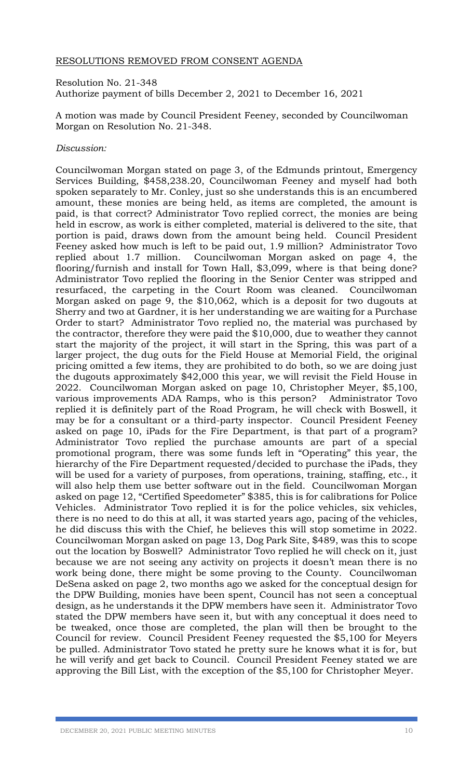## RESOLUTIONS REMOVED FROM CONSENT AGENDA

Resolution No. 21-348 Authorize payment of bills December 2, 2021 to December 16, 2021

A motion was made by Council President Feeney, seconded by Councilwoman Morgan on Resolution No. 21-348.

## *Discussion:*

Councilwoman Morgan stated on page 3, of the Edmunds printout, Emergency Services Building, \$458,238.20, Councilwoman Feeney and myself had both spoken separately to Mr. Conley, just so she understands this is an encumbered amount, these monies are being held, as items are completed, the amount is paid, is that correct? Administrator Tovo replied correct, the monies are being held in escrow, as work is either completed, material is delivered to the site, that portion is paid, draws down from the amount being held. Council President Feeney asked how much is left to be paid out, 1.9 million? Administrator Tovo replied about 1.7 million. Councilwoman Morgan asked on page 4, the flooring/furnish and install for Town Hall, \$3,099, where is that being done? Administrator Tovo replied the flooring in the Senior Center was stripped and resurfaced, the carpeting in the Court Room was cleaned. Councilwoman Morgan asked on page 9, the \$10,062, which is a deposit for two dugouts at Sherry and two at Gardner, it is her understanding we are waiting for a Purchase Order to start? Administrator Tovo replied no, the material was purchased by the contractor, therefore they were paid the \$10,000, due to weather they cannot start the majority of the project, it will start in the Spring, this was part of a larger project, the dug outs for the Field House at Memorial Field, the original pricing omitted a few items, they are prohibited to do both, so we are doing just the dugouts approximately \$42,000 this year, we will revisit the Field House in 2022. Councilwoman Morgan asked on page 10, Christopher Meyer, \$5,100, various improvements ADA Ramps, who is this person? Administrator Tovo replied it is definitely part of the Road Program, he will check with Boswell, it may be for a consultant or a third-party inspector. Council President Feeney asked on page 10, iPads for the Fire Department, is that part of a program? Administrator Tovo replied the purchase amounts are part of a special promotional program, there was some funds left in "Operating" this year, the hierarchy of the Fire Department requested/decided to purchase the iPads, they will be used for a variety of purposes, from operations, training, staffing, etc., it will also help them use better software out in the field. Councilwoman Morgan asked on page 12, "Certified Speedometer" \$385, this is for calibrations for Police Vehicles. Administrator Tovo replied it is for the police vehicles, six vehicles, there is no need to do this at all, it was started years ago, pacing of the vehicles, he did discuss this with the Chief, he believes this will stop sometime in 2022. Councilwoman Morgan asked on page 13, Dog Park Site, \$489, was this to scope out the location by Boswell? Administrator Tovo replied he will check on it, just because we are not seeing any activity on projects it doesn't mean there is no work being done, there might be some proving to the County. Councilwoman DeSena asked on page 2, two months ago we asked for the conceptual design for the DPW Building, monies have been spent, Council has not seen a conceptual design, as he understands it the DPW members have seen it. Administrator Tovo stated the DPW members have seen it, but with any conceptual it does need to be tweaked, once those are completed, the plan will then be brought to the Council for review. Council President Feeney requested the \$5,100 for Meyers be pulled. Administrator Tovo stated he pretty sure he knows what it is for, but he will verify and get back to Council. Council President Feeney stated we are approving the Bill List, with the exception of the \$5,100 for Christopher Meyer.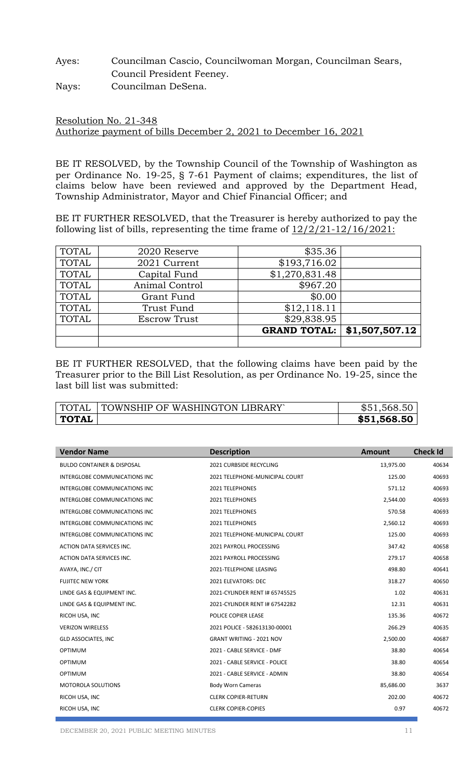# Ayes: Councilman Cascio, Councilwoman Morgan, Councilman Sears, Council President Feeney. Nays: Councilman DeSena.

Resolution No. 21-348 Authorize payment of bills December 2, 2021 to December 16, 2021

BE IT RESOLVED, by the Township Council of the Township of Washington as per Ordinance No. 19-25, § 7-61 Payment of claims; expenditures, the list of claims below have been reviewed and approved by the Department Head, Township Administrator, Mayor and Chief Financial Officer; and

BE IT FURTHER RESOLVED, that the Treasurer is hereby authorized to pay the following list of bills, representing the time frame of  $12/2/21-12/16/2021$ :

| <b>TOTAL</b> | 2020 Reserve        | \$35.36             |                |
|--------------|---------------------|---------------------|----------------|
| <b>TOTAL</b> | 2021 Current        | \$193,716.02        |                |
| <b>TOTAL</b> | Capital Fund        | \$1,270,831.48      |                |
| <b>TOTAL</b> | Animal Control      | \$967.20            |                |
| <b>TOTAL</b> | Grant Fund          | \$0.00              |                |
| <b>TOTAL</b> | Trust Fund          | \$12,118.11         |                |
| <b>TOTAL</b> | <b>Escrow Trust</b> | \$29,838.95         |                |
|              |                     | <b>GRAND TOTAL:</b> | \$1,507,507.12 |
|              |                     |                     |                |

BE IT FURTHER RESOLVED, that the following claims have been paid by the Treasurer prior to the Bill List Resolution, as per Ordinance No. 19-25, since the last bill list was submitted:

| TOTAL        | TOWNSHIP OF WASHINGTON LIBRARY | 568.50      |
|--------------|--------------------------------|-------------|
| <b>TOTAL</b> |                                | \$51,568.50 |

| <b>Vendor Name</b>                    | <b>Description</b>              | <b>Amount</b> | <b>Check Id</b> |
|---------------------------------------|---------------------------------|---------------|-----------------|
| <b>BULDO CONTAINER &amp; DISPOSAL</b> | 2021 CURBSIDE RECYCLING         | 13,975.00     | 40634           |
| <b>INTERGLOBE COMMUNICATIONS INC</b>  | 2021 TELEPHONE-MUNICIPAL COURT  | 125.00        | 40693           |
| <b>INTERGLOBE COMMUNICATIONS INC</b>  | <b>2021 TELEPHONES</b>          | 571.12        | 40693           |
| INTERGLOBE COMMUNICATIONS INC         | 2021 TELEPHONES                 | 2,544.00      | 40693           |
| INTERGLOBE COMMUNICATIONS INC         | 2021 TELEPHONES                 | 570.58        | 40693           |
| INTERGLOBE COMMUNICATIONS INC         | <b>2021 TELEPHONES</b>          | 2,560.12      | 40693           |
| INTERGLOBE COMMUNICATIONS INC         | 2021 TELEPHONE-MUNICIPAL COURT  | 125.00        | 40693           |
| ACTION DATA SERVICES INC.             | 2021 PAYROLL PROCESSING         | 347.42        | 40658           |
| ACTION DATA SERVICES INC.             | 2021 PAYROLL PROCESSING         | 279.17        | 40658           |
| AVAYA, INC./ CIT                      | 2021-TELEPHONE LEASING          | 498.80        | 40641           |
| <b>FUJITEC NEW YORK</b>               | 2021 ELEVATORS: DEC             | 318.27        | 40650           |
| LINDE GAS & EQUIPMENT INC.            | 2021-CYLINDER RENT I# 65745525  | 1.02          | 40631           |
| LINDE GAS & EQUIPMENT INC.            | 2021-CYLINDER RENT I# 67542282  | 12.31         | 40631           |
| RICOH USA, INC                        | POLICE COPIER LEASE             | 135.36        | 40672           |
| <b>VERIZON WIRELESS</b>               | 2021 POLICE - 582613130-00001   | 266.29        | 40635           |
| <b>GLD ASSOCIATES, INC</b>            | <b>GRANT WRITING - 2021 NOV</b> | 2,500.00      | 40687           |
| <b>OPTIMUM</b>                        | 2021 - CABLE SERVICE - DMF      | 38.80         | 40654           |
| <b>OPTIMUM</b>                        | 2021 - CABLE SERVICE - POLICE   | 38.80         | 40654           |
| <b>OPTIMUM</b>                        | 2021 - CABLE SERVICE - ADMIN    | 38.80         | 40654           |
| <b>MOTOROLA SOLUTIONS</b>             | <b>Body Worn Cameras</b>        | 85,686.00     | 3637            |
| RICOH USA, INC                        | <b>CLERK COPIER-RETURN</b>      | 202.00        | 40672           |
| RICOH USA, INC                        | <b>CLERK COPIER-COPIES</b>      | 0.97          | 40672           |
|                                       |                                 |               |                 |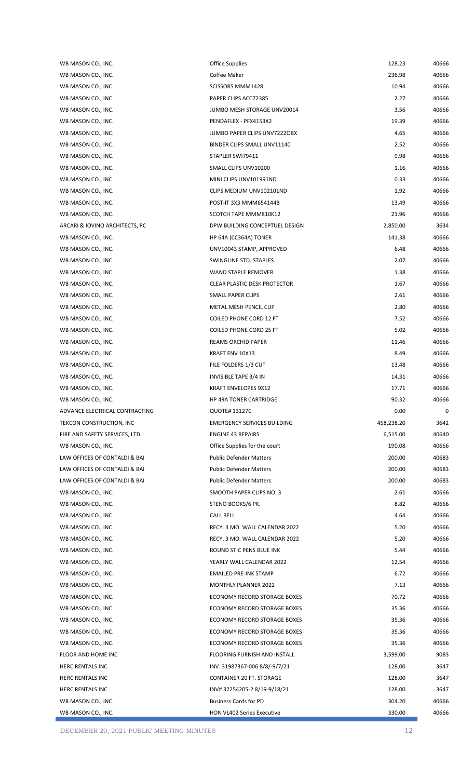| WB MASON CO., INC.             | <b>Office Supplies</b>              | 128.23     | 40666 |
|--------------------------------|-------------------------------------|------------|-------|
| WB MASON CO., INC.             | Coffee Maker                        | 236.98     | 40666 |
| WB MASON CO., INC.             | SCISSORS MMM1428                    | 10.94      | 40666 |
| WB MASON CO., INC.             | PAPER CLIPS ACC72385                | 2.27       | 40666 |
| WB MASON CO., INC.             | JUMBO MESH STORAGE UNV20014         | 3.56       | 40666 |
| WB MASON CO., INC.             | PENDAFLEX - PFX4153X2               | 19.39      | 40666 |
| WB MASON CO., INC.             | JUMBO PAPER CLIPS UNV7222OBX        | 4.65       | 40666 |
| WB MASON CO., INC.             | BINDER CLIPS SMALL UNV11140         | 2.52       | 40666 |
| WB MASON CO., INC.             | STAPLER SWI79411                    | 9.98       | 40666 |
| WB MASON CO., INC.             | SMALL CLIPS UNV10200                | 1.16       | 40666 |
| WB MASON CO., INC.             | MINI CLIPS UNV101991ND              | 0.33       | 40666 |
| WB MASON CO., INC.             | CLIPS MEDIUM UNV102101ND            | 1.92       | 40666 |
| WB MASON CO., INC.             | POST-IT 3X3 MMM654144B              | 13.49      | 40666 |
| WB MASON CO., INC.             | SCOTCH TAPE MMM810K12               | 21.96      | 40666 |
| ARCARI & IOVINO ARCHITECTS, PC | DPW BUILDING CONCEPTUEL DESIGN      | 2,850.00   | 3634  |
| WB MASON CO., INC.             | HP 64A (CC364A) TONER               | 141.38     | 40666 |
| WB MASON CO., INC.             | UNV10043 STAMP, APPROVED            | 6.48       | 40666 |
| WB MASON CO., INC.             | SWINGLINE STD. STAPLES              | 2.07       | 40666 |
| WB MASON CO., INC.             | WAND STAPLE REMOVER                 | 1.38       | 40666 |
|                                | <b>CLEAR PLASTIC DESK PROTECTOR</b> | 1.67       | 40666 |
| WB MASON CO., INC.             |                                     |            |       |
| WB MASON CO., INC.             | SMALL PAPER CLIPS                   | 2.61       | 40666 |
| WB MASON CO., INC.             | METAL MESH PENCIL CUP               | 2.80       | 40666 |
| WB MASON CO., INC.             | COILED PHONE CORD 12 FT             | 7.52       | 40666 |
| WB MASON CO., INC.             | COILED PHONE CORD 25 FT             | 5.02       | 40666 |
| WB MASON CO., INC.             | REAMS ORCHID PAPER                  | 11.46      | 40666 |
| WB MASON CO., INC.             | KRAFT ENV 10X13                     | 8.49       | 40666 |
| WB MASON CO., INC.             | FILE FOLDERS 1/3 CUT                | 13.48      | 40666 |
| WB MASON CO., INC.             | <b>INVISIBLE TAPE 3/4 IN</b>        | 14.31      | 40666 |
| WB MASON CO., INC.             | <b>KRAFT ENVELOPES 9X12</b>         | 17.71      | 40666 |
| WB MASON CO., INC.             | <b>HP 49A TONER CARTRIDGE</b>       | 90.32      | 40666 |
| ADVANCE ELECTRICAL CONTRACTING | <b>QUOTE# 13127C</b>                | 0.00       | 0     |
| TEKCON CONSTRUCTION, INC       | <b>EMERGENCY SERVICES BUILDING</b>  | 458,238.20 | 3642  |
| FIRE AND SAFETY SERVICES, LTD. | <b>ENGINE 43 REPAIRS</b>            | 6,515.00   | 40640 |
| WB MASON CO., INC.             | Office Supplies for the court       | 190.08     | 40666 |
| LAW OFFICES OF CONTALDI & BAI  | <b>Public Defender Matters</b>      | 200.00     | 40683 |
| LAW OFFICES OF CONTALDI & BAI  | <b>Public Defender Matters</b>      | 200.00     | 40683 |
| LAW OFFICES OF CONTALDI & BAI  | <b>Public Defender Matters</b>      | 200.00     | 40683 |
| WB MASON CO., INC.             | SMOOTH PAPER CLIPS NO. 3            | 2.61       | 40666 |
| WB MASON CO., INC.             | STENO BOOKS/6 PK.                   | 8.82       | 40666 |
| WB MASON CO., INC.             | <b>CALL BELL</b>                    | 4.64       | 40666 |
| WB MASON CO., INC.             | RECY. 3 MO. WALL CALENDAR 2022      | 5.20       | 40666 |
| WB MASON CO., INC.             | RECY. 3 MO. WALL CALENDAR 2022      | 5.20       | 40666 |
| WB MASON CO., INC.             | ROUND STIC PENS BLUE INK            | 5.44       | 40666 |
| WB MASON CO., INC.             | YEARLY WALL CALENDAR 2022           | 12.54      | 40666 |
| WB MASON CO., INC.             | <b>EMAILED PRE-INK STAMP</b>        | 6.72       | 40666 |
| WB MASON CO., INC.             | <b>MONTHLY PLANNER 2022</b>         | 7.13       | 40666 |
| WB MASON CO., INC.             | ECONOMY RECORD STORAGE BOXES        | 70.72      | 40666 |
| WB MASON CO., INC.             | ECONOMY RECORD STORAGE BOXES        | 35.36      | 40666 |
| WB MASON CO., INC.             | ECONOMY RECORD STORAGE BOXES        | 35.36      | 40666 |
| WB MASON CO., INC.             | ECONOMY RECORD STORAGE BOXES        | 35.36      | 40666 |
| WB MASON CO., INC.             | ECONOMY RECORD STORAGE BOXES        | 35.36      | 40666 |
| FLOOR AND HOME INC             | FLOORING FURNISH AND INSTALL        | 3,599.00   | 9083  |
| HERC RENTALS INC               | INV. 31987367-006 8/8/-9/7/21       | 128.00     | 3647  |
| HERC RENTALS INC               | CONTAINER 20 FT. STORAGE            | 128.00     | 3647  |
| HERC RENTALS INC               | INV#32254205-28/19-9/18/21          | 128.00     | 3647  |
| WB MASON CO., INC.             | <b>Business Cards for PD</b>        | 304.20     | 40666 |
| WB MASON CO., INC.             | <b>HON VL402 Series Executive</b>   | 330.00     | 40666 |
|                                |                                     |            |       |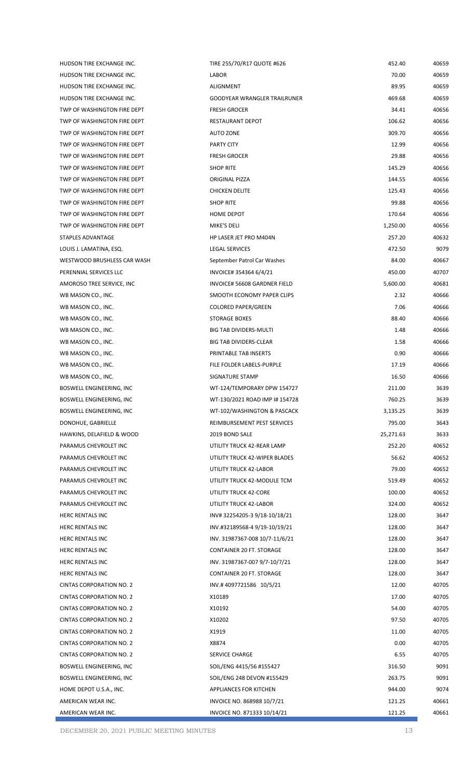| HUDSON TIRE EXCHANGE INC.                                  |  |
|------------------------------------------------------------|--|
| HUDSON TIRE EXCHANGE INC.                                  |  |
| HUDSON TIRE EXCHANGE INC.                                  |  |
| TWP OF WASHINGTON FIRE DEPT                                |  |
| TWP OF WASHINGTON FIRE DEPT                                |  |
| TWP OF WASHINGTON FIRE DEPT                                |  |
| TWP OF WASHINGTON FIRE DEPT                                |  |
| TWP OF WASHINGTON FIRE DEPT                                |  |
| TWP OF WASHINGTON FIRE DEPT                                |  |
| TWP OF WASHINGTON FIRE DEPT                                |  |
| TWP OF WASHINGTON FIRE DEPT                                |  |
| TWP OF WASHINGTON FIRE DEPT                                |  |
|                                                            |  |
| TWP OF WASHINGTON FIRE DEPT<br>TWP OF WASHINGTON FIRE DEPT |  |
|                                                            |  |
| STAPLES ADVANTAGE                                          |  |
| LOUIS J. LAMATINA, ESQ.                                    |  |
| WESTWOOD BRUSHLESS CAR WASH                                |  |
| PERENNIAL SERVICES LLC                                     |  |
| AMOROSO TREE SERVICE, INC                                  |  |
| WB MASON CO., INC.                                         |  |
| WB MASON CO., INC.                                         |  |
| WB MASON CO., INC.                                         |  |
| WB MASON CO., INC.                                         |  |
| WB MASON CO., INC.                                         |  |
| WB MASON CO., INC.                                         |  |
| WB MASON CO., INC.                                         |  |
| WB MASON CO., INC.                                         |  |
| BOSWELL ENGINEERING, INC                                   |  |
|                                                            |  |
| BOSWELL ENGINEERING, INC                                   |  |
| BOSWELL ENGINEERING, INC                                   |  |
| DONOHUE, GABRIELLE                                         |  |
| HAWKINS, DELAFIELD & WOOD                                  |  |
| PARAMUS CHEVROLET INC                                      |  |
| PARAMUS CHEVROLET INC                                      |  |
| PARAMUS CHEVROLET INC                                      |  |
| PARAMUS CHEVROLET INC                                      |  |
| PARAMUS CHEVROLET INC                                      |  |
| PARAMUS CHEVROLET INC                                      |  |
| <b>HERC RENTALS INC</b>                                    |  |
| <b>HERC RENTALS INC</b>                                    |  |
| <b>HERC RENTALS INC</b>                                    |  |
| <b>HERC RENTALS INC</b>                                    |  |
| <b>HERC RENTALS INC</b>                                    |  |
| <b>HERC RENTALS INC</b>                                    |  |
|                                                            |  |
| <b>CINTAS CORPORATION NO. 2</b>                            |  |
| <b>CINTAS CORPORATION NO. 2</b>                            |  |
| <b>CINTAS CORPORATION NO. 2</b>                            |  |
| <b>CINTAS CORPORATION NO. 2</b>                            |  |
| <b>CINTAS CORPORATION NO. 2</b>                            |  |
| <b>CINTAS CORPORATION NO. 2</b>                            |  |
| <b>CINTAS CORPORATION NO. 2</b>                            |  |
| BOSWELL ENGINEERING, INC                                   |  |
| BOSWELL ENGINEERING, INC                                   |  |
| HOME DEPOT U.S.A., INC.                                    |  |
| AMERICAN WEAR INC.<br>AMERICAN WEAR INC.                   |  |

| HUDSON TIRE EXCHANGE INC.       | TIRE 255/70/R17 QUOTE #626          | 452.40    | 40659 |
|---------------------------------|-------------------------------------|-----------|-------|
| HUDSON TIRE EXCHANGE INC.       | LABOR                               | 70.00     | 40659 |
| HUDSON TIRE EXCHANGE INC.       | ALIGNMENT                           | 89.95     | 40659 |
| HUDSON TIRE EXCHANGE INC.       | <b>GOODYEAR WRANGLER TRAILRUNER</b> | 469.68    | 40659 |
| TWP OF WASHINGTON FIRE DEPT     | <b>FRESH GROCER</b>                 | 34.41     | 40656 |
| TWP OF WASHINGTON FIRE DEPT     | RESTAURANT DEPOT                    | 106.62    | 40656 |
| TWP OF WASHINGTON FIRE DEPT     | <b>AUTO ZONE</b>                    | 309.70    | 40656 |
| TWP OF WASHINGTON FIRE DEPT     | <b>PARTY CITY</b>                   | 12.99     | 40656 |
| TWP OF WASHINGTON FIRE DEPT     | <b>FRESH GROCER</b>                 | 29.88     | 40656 |
| TWP OF WASHINGTON FIRE DEPT     | <b>SHOP RITE</b>                    | 145.29    | 40656 |
| TWP OF WASHINGTON FIRE DEPT     | ORIGINAL PIZZA                      | 144.55    | 40656 |
| TWP OF WASHINGTON FIRE DEPT     | <b>CHICKEN DELITE</b>               | 125.43    | 40656 |
| TWP OF WASHINGTON FIRE DEPT     | <b>SHOP RITE</b>                    | 99.88     | 40656 |
| TWP OF WASHINGTON FIRE DEPT     | HOME DEPOT                          | 170.64    | 40656 |
| TWP OF WASHINGTON FIRE DEPT     | MIKE'S DELI                         | 1,250.00  | 40656 |
| STAPLES ADVANTAGE               | HP LASER JET PRO M404N              | 257.20    | 40632 |
| LOUIS J. LAMATINA, ESQ.         | <b>LEGAL SERVICES</b>               | 472.50    | 9079  |
| WESTWOOD BRUSHLESS CAR WASH     | September Patrol Car Washes         | 84.00     | 40667 |
| PERENNIAL SERVICES LLC          | INVOICE# 354364 6/4/21              | 450.00    | 40707 |
| AMOROSO TREE SERVICE, INC       | INVOICE# 56608 GARDNER FIELD        | 5,600.00  | 40681 |
| WB MASON CO., INC.              | SMOOTH ECONOMY PAPER CLIPS          | 2.32      | 40666 |
| WB MASON CO., INC.              | <b>COLORED PAPER/GREEN</b>          | 7.06      | 40666 |
| WB MASON CO., INC.              | <b>STORAGE BOXES</b>                | 88.40     | 40666 |
| WB MASON CO., INC.              | <b>BIG TAB DIVIDERS-MULTI</b>       | 1.48      | 40666 |
| WB MASON CO., INC.              | <b>BIG TAB DIVIDERS-CLEAR</b>       | 1.58      | 40666 |
| WB MASON CO., INC.              | PRINTABLE TAB INSERTS               | 0.90      | 40666 |
| WB MASON CO., INC.              | FILE FOLDER LABELS-PURPLE           | 17.19     | 40666 |
| WB MASON CO., INC.              | SIGNATURE STAMP                     | 16.50     | 40666 |
| BOSWELL ENGINEERING, INC        | WT-124/TEMPORARY DPW 154727         | 211.00    | 3639  |
| BOSWELL ENGINEERING, INC        | WT-130/2021 ROAD IMP I# 154728      | 760.25    | 3639  |
| BOSWELL ENGINEERING, INC        | WT-102/WASHINGTON & PASCACK         | 3,135.25  | 3639  |
| DONOHUE, GABRIELLE              | REIMBURSEMENT PEST SERVICES         | 795.00    | 3643  |
| HAWKINS, DELAFIELD & WOOD       | 2019 BOND SALE                      | 25,271.63 | 3633  |
| PARAMUS CHEVROLET INC           | UTILITY TRUCK 42-REAR LAMP          | 252.20    | 40652 |
| PARAMUS CHEVROLET INC           | UTILITY TRUCK 42-WIPER BLADES       | 56.62     | 40652 |
| PARAMUS CHEVROLET INC           | UTILITY TRUCK 42-LABOR              | 79.00     | 40652 |
| PARAMUS CHEVROLET INC           | UTILITY TRUCK 42-MODULE TCM         | 519.49    | 40652 |
| PARAMUS CHEVROLET INC           | UTILITY TRUCK 42-CORE               | 100.00    | 40652 |
| PARAMUS CHEVROLET INC           | UTILITY TRUCK 42-LABOR              | 324.00    | 40652 |
| HERC RENTALS INC                | INV#32254205-39/18-10/18/21         | 128.00    | 3647  |
| HERC RENTALS INC                | INV.#32189568-4 9/19-10/19/21       | 128.00    | 3647  |
| HERC RENTALS INC                | INV. 31987367-008 10/7-11/6/21      | 128.00    | 3647  |
| HERC RENTALS INC                | CONTAINER 20 FT. STORAGE            | 128.00    | 3647  |
| HERC RENTALS INC                | INV. 31987367-007 9/7-10/7/21       | 128.00    | 3647  |
| HERC RENTALS INC                | CONTAINER 20 FT. STORAGE            | 128.00    | 3647  |
| CINTAS CORPORATION NO. 2        | INV.#4097721586 10/5/21             | 12.00     | 40705 |
| CINTAS CORPORATION NO. 2        | X10189                              | 17.00     | 40705 |
| CINTAS CORPORATION NO. 2        | X10192                              | 54.00     | 40705 |
| CINTAS CORPORATION NO. 2        | X10202                              | 97.50     | 40705 |
| CINTAS CORPORATION NO. 2        | X1919                               | 11.00     | 40705 |
| CINTAS CORPORATION NO. 2        | X8874                               | 0.00      | 40705 |
| <b>CINTAS CORPORATION NO. 2</b> | <b>SERVICE CHARGE</b>               | 6.55      | 40705 |
| BOSWELL ENGINEERING, INC        | SOIL/ENG 4415/56 #155427            | 316.50    | 9091  |
| BOSWELL ENGINEERING, INC        | SOIL/ENG 248 DEVON #155429          | 263.75    | 9091  |
| HOME DEPOT U.S.A., INC.         | APPLIANCES FOR KITCHEN              | 944.00    | 9074  |
| AMERICAN WEAR INC.              |                                     |           |       |
|                                 | INVOICE NO. 868988 10/7/21          | 121.25    | 40661 |
| AMERICAN WEAR INC.              | INVOICE NO. 871333 10/14/21         | 121.25    | 40661 |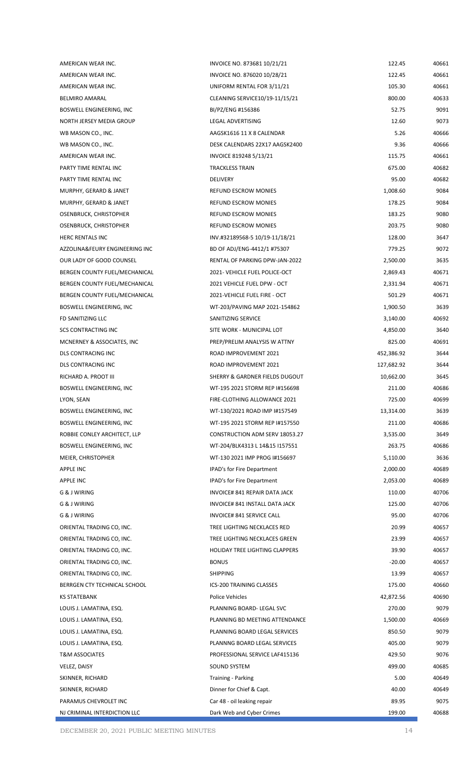| AMERICAN WEAR INC.             | INVOICE NO. 873681 10/21/21           | 122.45     | 40661 |
|--------------------------------|---------------------------------------|------------|-------|
| AMERICAN WEAR INC.             | INVOICE NO. 876020 10/28/21           | 122.45     | 40661 |
| AMERICAN WEAR INC.             | UNIFORM RENTAL FOR 3/11/21            | 105.30     | 40661 |
| <b>BELMIRO AMARAL</b>          | CLEANING SERVICE10/19-11/15/21        | 800.00     | 40633 |
| BOSWELL ENGINEERING, INC       | BI/PZ/ENG #156386                     | 52.75      | 9091  |
| NORTH JERSEY MEDIA GROUP       | LEGAL ADVERTISING                     | 12.60      | 9073  |
| WB MASON CO., INC.             | AAGSK1616 11 X 8 CALENDAR             | 5.26       | 40666 |
| WB MASON CO., INC.             | DESK CALENDARS 22X17 AAGSK2400        | 9.36       | 40666 |
| AMERICAN WEAR INC.             | INVOICE 819248 5/13/21                | 115.75     | 40661 |
| PARTY TIME RENTAL INC          | <b>TRACKLESS TRAIN</b>                | 675.00     | 40682 |
| PARTY TIME RENTAL INC          | <b>DELIVERY</b>                       | 95.00      | 40682 |
| MURPHY, GERARD & JANET         | REFUND ESCROW MONIES                  | 1,008.60   | 9084  |
| MURPHY, GERARD & JANET         | REFUND ESCROW MONIES                  | 178.25     | 9084  |
| OSENBRUCK, CHRISTOPHER         | REFUND ESCROW MONIES                  | 183.25     | 9080  |
| OSENBRUCK, CHRISTOPHER         | REFUND ESCROW MONIES                  | 203.75     | 9080  |
| <b>HERC RENTALS INC</b>        | INV.#32189568-5 10/19-11/18/21        | 128.00     | 3647  |
| AZZOLINA&FEURY ENGINEERING INC | BD OF ADJ/ENG-4412/1 #75307           | 779.25     | 9072  |
| OUR LADY OF GOOD COUNSEL       | RENTAL OF PARKING DPW-JAN-2022        | 2,500.00   | 3635  |
| BERGEN COUNTY FUEL/MECHANICAL  | 2021- VEHICLE FUEL POLICE-OCT         | 2,869.43   | 40671 |
| BERGEN COUNTY FUEL/MECHANICAL  | 2021 VEHICLE FUEL DPW - OCT           | 2,331.94   | 40671 |
| BERGEN COUNTY FUEL/MECHANICAL  | 2021-VEHICLE FUEL FIRE - OCT          | 501.29     | 40671 |
| BOSWELL ENGINEERING, INC       | WT-203/PAVING MAP 2021-154862         | 1,900.50   | 3639  |
| FD SANITIZING LLC              | SANITIZING SERVICE                    | 3,140.00   | 40692 |
| <b>SCS CONTRACTING INC</b>     | SITE WORK - MUNICIPAL LOT             | 4,850.00   | 3640  |
| MCNERNEY & ASSOCIATES, INC     | PREP/PRELIM ANALYSIS W ATTNY          | 825.00     | 40691 |
| DLS CONTRACING INC             | ROAD IMPROVEMENT 2021                 | 452,386.92 | 3644  |
| DLS CONTRACING INC             | ROAD IMPROVEMENT 2021                 | 127,682.92 | 3644  |
| RICHARD A. PROOT III           | SHERRY & GARDNER FIELDS DUGOUT        | 10,662.00  | 3645  |
| BOSWELL ENGINEERING, INC       | WT-195 2021 STORM REP I#156698        | 211.00     | 40686 |
| LYON, SEAN                     | FIRE-CLOTHING ALLOWANCE 2021          | 725.00     | 40699 |
| BOSWELL ENGINEERING, INC       | WT-130/2021 ROAD IMP I#157549         | 13,314.00  | 3639  |
| BOSWELL ENGINEERING, INC       | WT-195 2021 STORM REP I#157550        | 211.00     | 40686 |
| ROBBIE CONLEY ARCHITECT, LLP   | CONSTRUCTION ADM SERV 18053.27        | 3,535.00   | 3649  |
| BOSWELL ENGINEERING, INC       | WT-204/BLK4313 L 14&15 I157551        | 263.75     | 40686 |
| MEIER, CHRISTOPHER             | WT-130 2021 IMP PROG I#156697         | 5,110.00   | 3636  |
| APPLE INC                      | <b>IPAD's for Fire Department</b>     | 2,000.00   | 40689 |
| APPLE INC                      | <b>IPAD's for Fire Department</b>     | 2,053.00   | 40689 |
| G & J WIRING                   | INVOICE# 841 REPAIR DATA JACK         | 110.00     | 40706 |
| G & J WIRING                   | INVOICE# 841 INSTALL DATA JACK        | 125.00     | 40706 |
| G & J WIRING                   | INVOICE# 841 SERVICE CALL             | 95.00      | 40706 |
| ORIENTAL TRADING CO, INC.      | TREE LIGHTING NECKLACES RED           | 20.99      | 40657 |
| ORIENTAL TRADING CO, INC.      | TREE LIGHTING NECKLACES GREEN         | 23.99      | 40657 |
| ORIENTAL TRADING CO, INC.      | <b>HOLIDAY TREE LIGHTING CLAPPERS</b> | 39.90      | 40657 |
| ORIENTAL TRADING CO, INC.      | <b>BONUS</b>                          | $-20.00$   | 40657 |
| ORIENTAL TRADING CO, INC.      | <b>SHIPPING</b>                       | 13.99      | 40657 |
| BERRGEN CTY TECHNICAL SCHOOL   | ICS-200 TRAINING CLASSES              | 175.00     | 40660 |
| <b>KS STATEBANK</b>            | Police Vehicles                       | 42,872.56  | 40690 |
| LOUIS J. LAMATINA, ESQ.        | PLANNING BOARD- LEGAL SVC             | 270.00     | 9079  |
| LOUIS J. LAMATINA, ESQ.        | PLANNING BD MEETING ATTENDANCE        | 1,500.00   | 40669 |
| LOUIS J. LAMATINA, ESQ.        | PLANNING BOARD LEGAL SERVICES         | 850.50     | 9079  |
| LOUIS J. LAMATINA, ESQ.        | PLANNNG BOARD LEGAL SERVICES          | 405.00     | 9079  |
| <b>T&amp;M ASSOCIATES</b>      | PROFESSIONAL SERVICE LAF415136        | 429.50     | 9076  |
| VELEZ, DAISY                   | SOUND SYSTEM                          | 499.00     | 40685 |
| SKINNER, RICHARD               | <b>Training - Parking</b>             | 5.00       | 40649 |
| SKINNER, RICHARD               | Dinner for Chief & Capt.              | 40.00      | 40649 |
| PARAMUS CHEVROLET INC          | Car 48 - oil leaking repair           | 89.95      | 9075  |
| NJ CRIMINAL INTERDICTION LLC   | Dark Web and Cyber Crimes             | 199.00     | 40688 |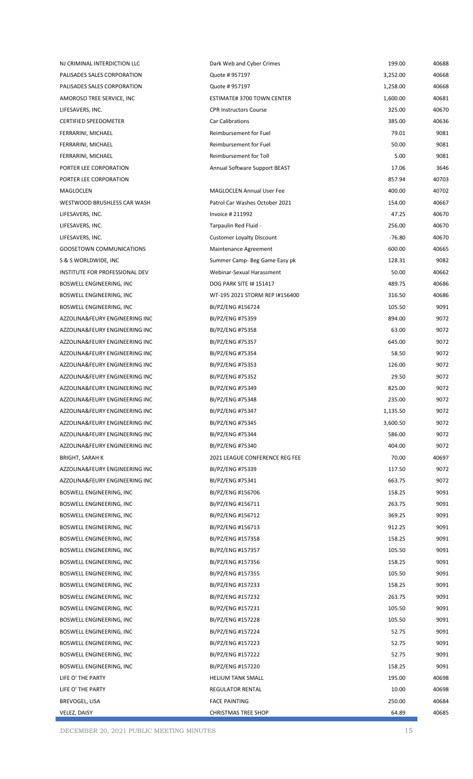| NJ CRIMINAL INTERDICTION LLC    | Dark Web and Cyber Crimes        | 199.00   | 40688 |
|---------------------------------|----------------------------------|----------|-------|
| PALISADES SALES CORPORATION     | Quote #957197                    | 3,252.00 | 40668 |
| PALISADES SALES CORPORATION     | Quote #957197                    | 1,258.00 | 40668 |
| AMOROSO TREE SERVICE, INC       | ESTIMATE# 3700 TOWN CENTER       | 1,600.00 | 40681 |
| LIFESAVERS, INC.                | <b>CPR Instructors Course</b>    | 325.00   | 40670 |
| <b>CERTIFIED SPEEDOMETER</b>    | <b>Car Calibrations</b>          | 385.00   | 40636 |
| FERRARINI, MICHAEL              | Reimbursement for Fuel           | 79.01    | 9081  |
| FERRARINI, MICHAEL              | Reimbursement for Fuel           | 50.00    | 9081  |
| FERRARINI, MICHAEL              | Reimbursement for Toll           | 5.00     | 9081  |
| PORTER LEE CORPORATION          | Annual Software Support BEAST    | 17.06    | 3646  |
| PORTER LEE CORPORATION          |                                  | 857.94   | 40703 |
| MAGLOCLEN                       | <b>MAGLOCLEN Annual User Fee</b> | 400.00   | 40702 |
| WESTWOOD BRUSHLESS CAR WASH     | Patrol Car Washes October 2021   | 154.00   | 40667 |
| LIFESAVERS, INC.                | <b>Invoice #211992</b>           | 47.25    | 40670 |
| LIFESAVERS, INC.                | Tarpaulin Red Fluid -            | 256.00   | 40670 |
| LIFESAVERS, INC.                | <b>Customer Loyalty Discount</b> | $-76.80$ | 40670 |
| <b>GOOSETOWN COMMUNICATIONS</b> | Maintenance Agreement            | 600.00   | 40665 |
| S & S WORLDWIDE, INC            | Summer Camp- Beg Game Easy pk    | 128.31   | 9082  |
| INSTITUTE FOR PROFESSIONAL DEV  | Webinar-Sexual Harassment        | 50.00    | 40662 |
| BOSWELL ENGINEERING, INC        | DOG PARK SITE I# 151417          | 489.75   | 40686 |
| BOSWELL ENGINEERING, INC        | WT-195 2021 STORM REP I#156400   | 316.50   | 40686 |
| BOSWELL ENGINEERING, INC        | BI/PZ/ENG #156724                | 105.50   | 9091  |
| AZZOLINA&FEURY ENGINEERING INC  | BI/PZ/ENG #75359                 | 894.00   | 9072  |
| AZZOLINA&FEURY ENGINEERING INC  | BI/PZ/ENG #75358                 | 63.00    | 9072  |
| AZZOLINA&FEURY ENGINEERING INC  | BI/PZ/ENG #75357                 | 645.00   | 9072  |
| AZZOLINA&FEURY ENGINEERING INC  | BI/PZ/ENG #75354                 | 58.50    | 9072  |
| AZZOLINA&FEURY ENGINEERING INC  | BI/PZ/ENG #75353                 | 126.00   | 9072  |
| AZZOLINA&FEURY ENGINEERING INC  | BI/PZ/ENG #75352                 | 29.50    | 9072  |
| AZZOLINA&FEURY ENGINEERING INC  | BI/PZ/ENG #75349                 | 825.00   | 9072  |
| AZZOLINA&FEURY ENGINEERING INC  | BI/PZ/ENG #75348                 | 235.00   | 9072  |
| AZZOLINA&FEURY ENGINEERING INC  | BI/PZ/ENG #75347                 | 1,135.50 | 9072  |
| AZZOLINA&FEURY ENGINEERING INC  | BI/PZ/ENG #75345                 | 3,600.50 | 9072  |
| AZZOLINA&FEURY ENGINEERING INC  | BI/PZ/ENG #75344                 | 586.00   | 9072  |
| AZZOLINA&FEURY ENGINEERING INC  | BI/PZ/ENG #75340                 | 404.00   | 9072  |
| <b>BRIGHT, SARAH K</b>          | 2021 LEAGUE CONFERENCE REG FEE   | 70.00    | 40697 |
| AZZOLINA&FEURY ENGINEERING INC  | BI/PZ/ENG #75339                 | 117.50   | 9072  |
| AZZOLINA&FEURY ENGINEERING INC  | BI/PZ/ENG #75341                 | 663.75   | 9072  |
| BOSWELL ENGINEERING, INC        | BI/PZ/ENG #156706                | 158.25   | 9091  |
| BOSWELL ENGINEERING, INC        | BI/PZ/ENG #156711                | 263.75   | 9091  |
| BOSWELL ENGINEERING, INC        | BI/PZ/ENG #156712                | 369.25   | 9091  |
| BOSWELL ENGINEERING, INC        | BI/PZ/ENG #156713                | 912.25   | 9091  |
| BOSWELL ENGINEERING, INC        | BI/PZ/ENG #157358                | 158.25   | 9091  |
| BOSWELL ENGINEERING, INC        | BI/PZ/ENG #157357                | 105.50   | 9091  |
| BOSWELL ENGINEERING, INC        | BI/PZ/ENG #157356                | 158.25   | 9091  |
| BOSWELL ENGINEERING, INC        | BI/PZ/ENG #157355                | 105.50   | 9091  |
| BOSWELL ENGINEERING, INC        | BI/PZ/ENG #157233                | 158.25   | 9091  |
| BOSWELL ENGINEERING, INC        | BI/PZ/ENG #157232                | 263.75   | 9091  |
| BOSWELL ENGINEERING, INC        | BI/PZ/ENG #157231                | 105.50   | 9091  |
| BOSWELL ENGINEERING, INC        | BI/PZ/ENG #157228                | 105.50   | 9091  |
| BOSWELL ENGINEERING, INC        | BI/PZ/ENG #157224                | 52.75    | 9091  |
| BOSWELL ENGINEERING, INC        | BI/PZ/ENG #157223                | 52.75    | 9091  |
| BOSWELL ENGINEERING, INC        | BI/PZ/ENG #157222                | 52.75    | 9091  |
| BOSWELL ENGINEERING, INC        | BI/PZ/ENG #157220                | 158.25   | 9091  |
| LIFE O' THE PARTY               | <b>HELIUM TANK SMALL</b>         | 195.00   | 40698 |
| LIFE O' THE PARTY               | REGULATOR RENTAL                 | 10.00    | 40698 |
| BREVOGEL, LISA                  | <b>FACE PAINTING</b>             | 250.00   | 40684 |
| VELEZ, DAISY                    | CHRISTMAS TREE SHOP              | 64.89    | 40685 |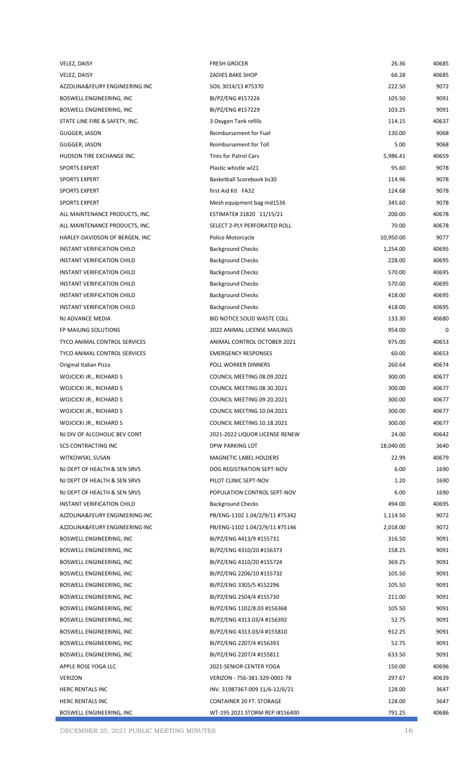| VELEZ, DAISY                        | <b>FRESH GROCER</b>             | 26.36     | 40685 |
|-------------------------------------|---------------------------------|-----------|-------|
| VELEZ, DAISY                        | ZADIES BAKE SHOP                | 66.28     | 40685 |
| AZZOLINA&FEURY ENGINEERING INC      | SOIL 3014/13 #75370             | 222.50    | 9072  |
| BOSWELL ENGINEERING, INC            | BI/PZ/ENG #157226               | 105.50    | 9091  |
| BOSWELL ENGINEERING, INC            | BI/PZ/ENG #157229               | 103.25    | 9091  |
| STATE LINE FIRE & SAFETY, INC.      | 3 Oxygen Tank refills           | 114.15    | 40637 |
| GUGGER, JASON                       | Reimbursement for Fuel          | 130.00    | 9068  |
| GUGGER, JASON                       | Reimbursement for Toll          | 5.00      | 9068  |
| HUDSON TIRE EXCHANGE INC.           | <b>Tires for Patrol Cars</b>    | 5,986.41  | 40659 |
| <b>SPORTS EXPERT</b>                | Plastic whistle wl21            | 95.60     | 9078  |
| <b>SPORTS EXPERT</b>                | Basketball Scorebook bs30       | 114.96    | 9078  |
| <b>SPORTS EXPERT</b>                | first Aid Kit FA32              | 124.68    | 9078  |
| <b>SPORTS EXPERT</b>                | Mesh equipment bag md1536       | 345.60    | 9078  |
| ALL MAINTENANCE PRODUCTS, INC.      | ESTIMATE# 31820 11/15/21        | 200.00    | 40678 |
| ALL MAINTENANCE PRODUCTS, INC.      | SELECT 2-PLY PERFORATED ROLL    | 70.00     | 40678 |
| HARLEY-DAVIDSON OF BERGEN, INC      | Police Motorcycle               | 10,950.00 | 9077  |
| INSTANT VERIFICATION CHILD          | <b>Background Checks</b>        | 1,254.00  | 40695 |
| INSTANT VERIFICATION CHILD          | <b>Background Checks</b>        | 228.00    | 40695 |
| INSTANT VERIFICATION CHILD          | <b>Background Checks</b>        | 570.00    | 40695 |
| INSTANT VERIFICATION CHILD          | <b>Background Checks</b>        | 570.00    | 40695 |
| INSTANT VERIFICATION CHILD          | <b>Background Checks</b>        | 418.00    | 40695 |
| INSTANT VERIFICATION CHILD          | <b>Background Checks</b>        | 418.00    | 40695 |
|                                     |                                 |           |       |
| NJ ADVANCE MEDIA                    | BID NOTICE SOLID WASTE COLL     | 133.30    | 40680 |
| FP MAILING SOLUTIONS                | 2022 ANIMAL LICENSE MAILINGS    | 954.00    | 0     |
| TYCO ANIMAL CONTROL SERVICES        | ANIMAL CONTROL OCTOBER 2021     | 975.00    | 40653 |
| <b>TYCO ANIMAL CONTROL SERVICES</b> | <b>EMERGENCY RESPONSES</b>      | 60.00     | 40653 |
| Original Italian Pizza              | POLL WORKER DINNERS             | 260.64    | 40674 |
| WOJCICKI JR., RICHARD S             | COUNCIL MEETING 08.09.2021      | 300.00    | 40677 |
| WOJCICKI JR., RICHARD S             | COUNCIL MEETING 08.30.2021      | 300.00    | 40677 |
| WOJCICKI JR., RICHARD S             | COUNCIL MEETING 09.20.2021      | 300.00    | 40677 |
| WOJCICKI JR., RICHARD S             | COUNCIL MEETING 10.04.2021      | 300.00    | 40677 |
| WOJCICKI JR., RICHARD S             | COUNCIL MEETING 10.18.2021      | 300.00    | 40677 |
| NJ DIV OF ALCOHOLIC BEV CONT        | 2021-2022 LIQUOR LICENSE RENEW  | 24.00     | 40642 |
| <b>SCS CONTRACTING INC</b>          | DPW PARKING LOT                 | 18,040.00 | 3640  |
| WITKOWSKI, SUSAN                    | <b>MAGNETIC LABEL HOLDERS</b>   | 22.99     | 40679 |
| NJ DEPT OF HEALTH & SEN SRVS        | DOG REGISTRATION SEPT-NOV       | 6.00      | 1690  |
| NJ DEPT OF HEALTH & SEN SRVS        | PILOT CLINIC SEPT-NOV           | 1.20      | 1690  |
| NJ DEPT OF HEALTH & SEN SRVS        | POPULATION CONTROL SEPT-NOV     | 6.00      | 1690  |
| INSTANT VERIFICATION CHILD          | <b>Background Checks</b>        | 494.00    | 40695 |
| AZZOLINA&FEURY ENGINEERING INC      | PB/ENG-1102 1.04/2/9/11 #75342  | 1,114.50  | 9072  |
| AZZOLINA&FEURY ENGINEERING INC      | PB/ENG-1102 1.04/2/9/11 #75146  | 2,018.00  | 9072  |
| BOSWELL ENGINEERING, INC            | BI/PZ/ENG 4413/9 #155731        | 316.50    | 9091  |
| BOSWELL ENGINEERING, INC            | BI/PZ/ENG 4310/20 #156373       | 158.25    | 9091  |
| BOSWELL ENGINEERING, INC            | BI/PZ/ENG 4310/20 #155724       | 369.25    | 9091  |
| BOSWELL ENGINEERING, INC            | BI/PZ/ENG 2206/10 #155732       | 105.50    | 9091  |
| BOSWELL ENGINEERING, INC            | BI/PZ/ENG 3305/5 #152296        | 105.50    | 9091  |
| BOSWELL ENGINEERING, INC            | BI/PZ/ENG 2504/4 #155730        | 211.00    | 9091  |
| BOSWELL ENGINEERING, INC            | BI/PZ/ENG 1102/8.03 #156368     | 105.50    | 9091  |
| BOSWELL ENGINEERING, INC            | BI/PZ/ENG 4313.03/4 #156392     | 52.75     | 9091  |
| BOSWELL ENGINEERING, INC            | BI/PZ/ENG 4313.03/4 #155810     | 912.25    | 9091  |
| BOSWELL ENGINEERING, INC            | BI/PZ/ENG 2207/4 #156393        | 52.75     | 9091  |
| BOSWELL ENGINEERING, INC            | BI/PZ/ENG 2207/4 #155811        | 633.50    | 9091  |
| APPLE ROSE YOGA LLC                 | 2021-SENIOR CENTER YOGA         | 150.00    | 40696 |
| <b>VERIZON</b>                      | VERIZON - 756-381-329-0001-78   | 297.67    | 40639 |
| HERC RENTALS INC                    | INV. 31987367-009 11/6-12/6/21  | 128.00    | 3647  |
| <b>HERC RENTALS INC</b>             | <b>CONTAINER 20 FT. STORAGE</b> | 128.00    | 3647  |
| BOSWELL ENGINEERING, INC            | WT-195 2021 STORM REP I#156400  | 791.25    | 40686 |
|                                     |                                 |           |       |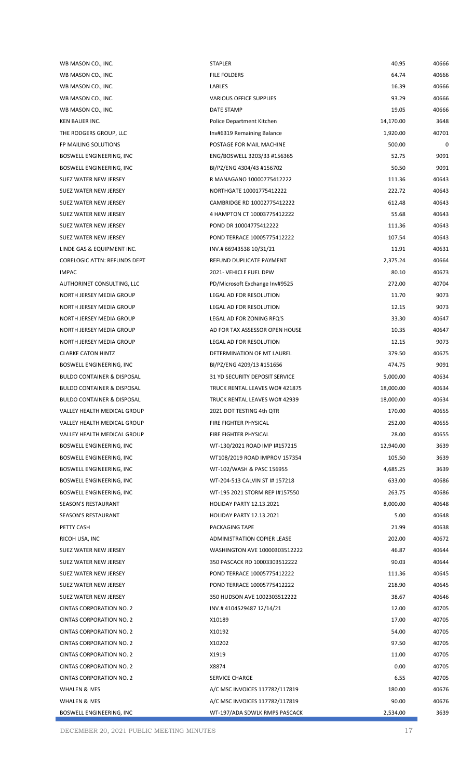| WB MASON CO., INC.                    | <b>STAPLER</b>                  | 40.95     | 40666 |
|---------------------------------------|---------------------------------|-----------|-------|
| WB MASON CO., INC.                    | FILE FOLDERS                    | 64.74     | 40666 |
| WB MASON CO., INC.                    | LABLES                          | 16.39     | 40666 |
| WB MASON CO., INC.                    | VARIOUS OFFICE SUPPLIES         | 93.29     | 40666 |
| WB MASON CO., INC.                    | DATE STAMP                      | 19.05     | 40666 |
| KEN BAUER INC.                        | Police Department Kitchen       | 14,170.00 | 3648  |
| THE RODGERS GROUP, LLC                | Inv#6319 Remaining Balance      | 1,920.00  | 40701 |
| FP MAILING SOLUTIONS                  | POSTAGE FOR MAIL MACHINE        | 500.00    | 0     |
| BOSWELL ENGINEERING, INC              | ENG/BOSWELL 3203/33 #156365     | 52.75     | 9091  |
| BOSWELL ENGINEERING, INC              | BI/PZ/ENG 4304/43 #156702       | 50.50     | 9091  |
| SUEZ WATER NEW JERSEY                 | R MANAGANO 10000775412222       | 111.36    | 40643 |
| SUEZ WATER NEW JERSEY                 | NORTHGATE 10001775412222        | 222.72    | 40643 |
| SUEZ WATER NEW JERSEY                 | CAMBRIDGE RD 10002775412222     | 612.48    | 40643 |
| SUEZ WATER NEW JERSEY                 | 4 HAMPTON CT 10003775412222     | 55.68     | 40643 |
| SUEZ WATER NEW JERSEY                 | POND DR 10004775412222          | 111.36    | 40643 |
| SUEZ WATER NEW JERSEY                 | POND TERRACE 10005775412222     | 107.54    | 40643 |
| LINDE GAS & EQUIPMENT INC.            | INV.# 66943538 10/31/21         | 11.91     | 40631 |
| CORELOGIC ATTN: REFUNDS DEPT          | REFUND DUPLICATE PAYMENT        | 2,375.24  | 40664 |
| <b>IMPAC</b>                          | 2021- VEHICLE FUEL DPW          | 80.10     | 40673 |
| AUTHORINET CONSULTING, LLC            | PD/Microsoft Exchange Inv#9525  | 272.00    | 40704 |
| NORTH JERSEY MEDIA GROUP              | LEGAL AD FOR RESOLUTION         | 11.70     | 9073  |
| NORTH JERSEY MEDIA GROUP              | LEGAL AD FOR RESOLUTION         | 12.15     | 9073  |
| NORTH JERSEY MEDIA GROUP              | LEGAL AD FOR ZONING RFQ'S       | 33.30     | 40647 |
| NORTH JERSEY MEDIA GROUP              | AD FOR TAX ASSESSOR OPEN HOUSE  | 10.35     | 40647 |
| NORTH JERSEY MEDIA GROUP              | LEGAL AD FOR RESOLUTION         | 12.15     | 9073  |
| <b>CLARKE CATON HINTZ</b>             | DETERMINATION OF MT LAUREL      | 379.50    | 40675 |
| BOSWELL ENGINEERING, INC              | BI/PZ/ENG 4209/13 #151656       | 474.75    | 9091  |
| <b>BULDO CONTAINER &amp; DISPOSAL</b> | 31 YD SECURITY DEPOSIT SERVICE  | 5,000.00  | 40634 |
| <b>BULDO CONTAINER &amp; DISPOSAL</b> | TRUCK RENTAL LEAVES WO# 421875  | 18,000.00 | 40634 |
| <b>BULDO CONTAINER &amp; DISPOSAL</b> | TRUCK RENTAL LEAVES WO# 42939   | 18,000.00 | 40634 |
| VALLEY HEALTH MEDICAL GROUP           | 2021 DOT TESTING 4th QTR        | 170.00    | 40655 |
| VALLEY HEALTH MEDICAL GROUP           | FIRE FIGHTER PHYSICAL           | 252.00    | 40655 |
| <b>VALLEY HEALTH MEDICAL GROUP</b>    | FIRE FIGHTER PHYSICAL           | 28.00     | 40655 |
| BOSWELL ENGINEERING, INC              | WT-130/2021 ROAD IMP I#157215   | 12,940.00 | 3639  |
| BOSWELL ENGINEERING, INC              | WT108/2019 ROAD IMPROV 157354   | 105.50    | 3639  |
| BOSWELL ENGINEERING, INC              | WT-102/WASH & PASC 156955       | 4,685.25  | 3639  |
| BOSWELL ENGINEERING, INC              | WT-204-513 CALVIN ST I# 157218  | 633.00    | 40686 |
| BOSWELL ENGINEERING, INC              | WT-195 2021 STORM REP I#157550  | 263.75    | 40686 |
| SEASON'S RESTAURANT                   | <b>HOLIDAY PARTY 12.13.2021</b> | 8,000.00  | 40648 |
| SEASON'S RESTAURANT                   | <b>HOLIDAY PARTY 12.13.2021</b> | 5.00      | 40648 |
| PETTY CASH                            | PACKAGING TAPE                  | 21.99     | 40638 |
| RICOH USA, INC                        | ADMINISTRATION COPIER LEASE     | 202.00    | 40672 |
| SUEZ WATER NEW JERSEY                 | WASHINGTON AVE 10000303512222   | 46.87     | 40644 |
| SUEZ WATER NEW JERSEY                 | 350 PASCACK RD 10003303512222   | 90.03     | 40644 |
| SUEZ WATER NEW JERSEY                 | POND TERRACE 10005775412222     | 111.36    | 40645 |
| SUEZ WATER NEW JERSEY                 | POND TERRACE 10005775412222     | 218.90    | 40645 |
| SUEZ WATER NEW JERSEY                 | 350 HUDSON AVE 1002303512222    | 38.67     | 40646 |
| <b>CINTAS CORPORATION NO. 2</b>       | INV.#410452948712/14/21         | 12.00     | 40705 |
| <b>CINTAS CORPORATION NO. 2</b>       | X10189                          | 17.00     | 40705 |
| <b>CINTAS CORPORATION NO. 2</b>       | X10192                          | 54.00     | 40705 |
| CINTAS CORPORATION NO. 2              | X10202                          | 97.50     | 40705 |
| <b>CINTAS CORPORATION NO. 2</b>       | X1919                           | 11.00     | 40705 |
| <b>CINTAS CORPORATION NO. 2</b>       | X8874                           | 0.00      | 40705 |
| CINTAS CORPORATION NO. 2              | <b>SERVICE CHARGE</b>           | 6.55      | 40705 |
| WHALEN & IVES                         | A/C MSC INVOICES 117782/117819  | 180.00    | 40676 |
| WHALEN & IVES                         | A/C MSC INVOICES 117782/117819  | 90.00     | 40676 |
| BOSWELL ENGINEERING, INC              | WT-197/ADA SDWLK RMPS PASCACK   | 2,534.00  | 3639  |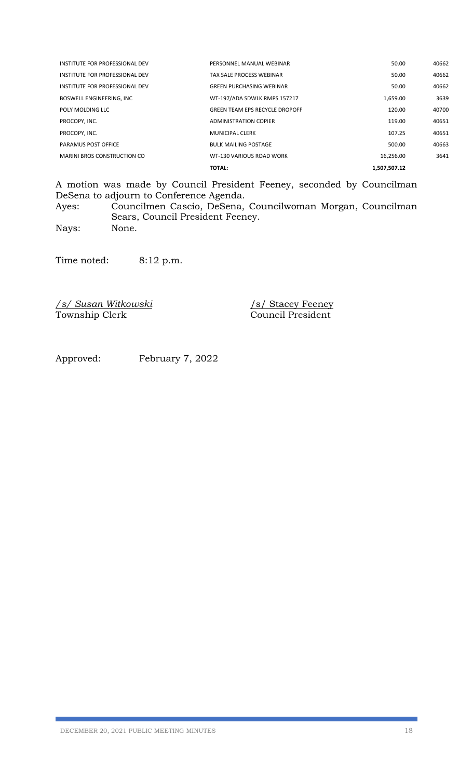|                                    | <b>TOTAL:</b>                         | 1,507,507.12 |       |
|------------------------------------|---------------------------------------|--------------|-------|
| <b>MARINI BROS CONSTRUCTION CO</b> | WT-130 VARIOUS ROAD WORK              | 16,256.00    | 3641  |
| PARAMUS POST OFFICE                | <b>BULK MAILING POSTAGE</b>           | 500.00       | 40663 |
| PROCOPY. INC.                      | MUNICIPAL CLERK                       | 107.25       | 40651 |
| PROCOPY, INC.                      | <b>ADMINISTRATION COPIER</b>          | 119.00       | 40651 |
| POLY MOLDING LLC                   | <b>GREEN TEAM EPS RECYCLE DROPOFF</b> | 120.00       | 40700 |
| <b>BOSWELL ENGINEERING, INC</b>    | WT-197/ADA SDWLK RMPS 157217          | 1,659.00     | 3639  |
| INSTITUTE FOR PROFESSIONAL DEV     | <b>GREEN PURCHASING WEBINAR</b>       | 50.00        | 40662 |
| INSTITUTE FOR PROFESSIONAL DEV     | TAX SALE PROCESS WEBINAR              | 50.00        | 40662 |
| INSTITUTE FOR PROFESSIONAL DEV     | PERSONNEL MANUAL WEBINAR              | 50.00        | 40662 |

A motion was made by Council President Feeney, seconded by Councilman DeSena to adjourn to Conference Agenda.

Ayes: Councilmen Cascio, DeSena, Councilwoman Morgan, Councilman Sears, Council President Feeney.

Nays: None.

Time noted: 8:12 p.m.

*/s/ Susan Witkowski* /s/ Stacey Feeney Township Clerk Council President

Approved: February 7, 2022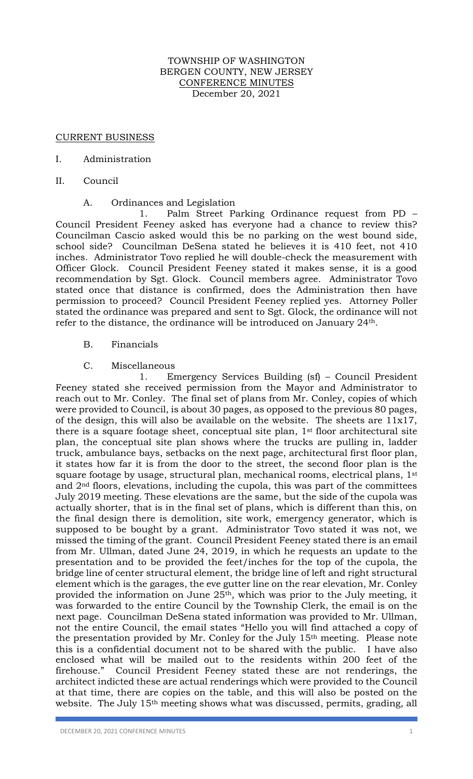## TOWNSHIP OF WASHINGTON BERGEN COUNTY, NEW JERSEY CONFERENCE MINUTES December 20, 2021

### CURRENT BUSINESS

### I. Administration

II. Council

#### A. Ordinances and Legislation

1. Palm Street Parking Ordinance request from PD – Council President Feeney asked has everyone had a chance to review this? Councilman Cascio asked would this be no parking on the west bound side, school side? Councilman DeSena stated he believes it is 410 feet, not 410 inches. Administrator Tovo replied he will double-check the measurement with Officer Glock. Council President Feeney stated it makes sense, it is a good recommendation by Sgt. Glock. Council members agree. Administrator Tovo stated once that distance is confirmed, does the Administration then have permission to proceed? Council President Feeney replied yes. Attorney Poller stated the ordinance was prepared and sent to Sgt. Glock, the ordinance will not refer to the distance, the ordinance will be introduced on January 24th.

## B. Financials

## C. Miscellaneous

1. Emergency Services Building (sf) – Council President Feeney stated she received permission from the Mayor and Administrator to reach out to Mr. Conley. The final set of plans from Mr. Conley, copies of which were provided to Council, is about 30 pages, as opposed to the previous 80 pages, of the design, this will also be available on the website. The sheets are 11x17, there is a square footage sheet, conceptual site plan, 1st floor architectural site plan, the conceptual site plan shows where the trucks are pulling in, ladder truck, ambulance bays, setbacks on the next page, architectural first floor plan, it states how far it is from the door to the street, the second floor plan is the square footage by usage, structural plan, mechanical rooms, electrical plans, 1<sup>st</sup> and  $2<sup>nd</sup>$  floors, elevations, including the cupola, this was part of the committees July 2019 meeting. These elevations are the same, but the side of the cupola was actually shorter, that is in the final set of plans, which is different than this, on the final design there is demolition, site work, emergency generator, which is supposed to be bought by a grant. Administrator Tovo stated it was not, we missed the timing of the grant. Council President Feeney stated there is an email from Mr. Ullman, dated June 24, 2019, in which he requests an update to the presentation and to be provided the feet/inches for the top of the cupola, the bridge line of center structural element, the bridge line of left and right structural element which is the garages, the eve gutter line on the rear elevation, Mr. Conley provided the information on June 25th, which was prior to the July meeting, it was forwarded to the entire Council by the Township Clerk, the email is on the next page. Councilman DeSena stated information was provided to Mr. Ullman, not the entire Council, the email states "Hello you will find attached a copy of the presentation provided by Mr. Conley for the July 15th meeting. Please note this is a confidential document not to be shared with the public. I have also enclosed what will be mailed out to the residents within 200 feet of the firehouse." Council President Feeney stated these are not renderings, the architect indicted these are actual renderings which were provided to the Council at that time, there are copies on the table, and this will also be posted on the website. The July 15th meeting shows what was discussed, permits, grading, all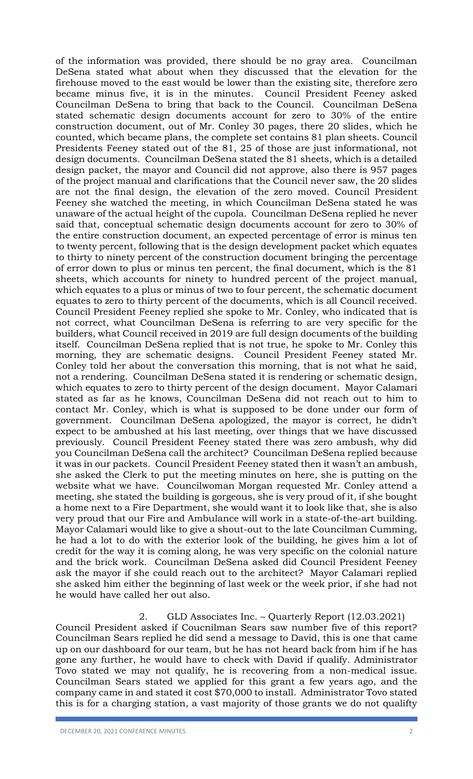of the information was provided, there should be no gray area. Councilman DeSena stated what about when they discussed that the elevation for the firehouse moved to the east would be lower than the existing site, therefore zero became minus five, it is in the minutes. Council President Feeney asked Councilman DeSena to bring that back to the Council. Councilman DeSena stated schematic design documents account for zero to 30% of the entire construction document, out of Mr. Conley 30 pages, there 20 slides, which he counted, which became plans, the complete set contains 81 plan sheets. Council Presidents Feeney stated out of the 81, 25 of those are just informational, not design documents. Councilman DeSena stated the 81 sheets, which is a detailed design packet, the mayor and Council did not approve, also there is 957 pages of the project manual and clarifications that the Council never saw, the 20 slides are not the final design, the elevation of the zero moved. Council President Feeney she watched the meeting, in which Councilman DeSena stated he was unaware of the actual height of the cupola. Councilman DeSena replied he never said that, conceptual schematic design documents account for zero to 30% of the entire construction document, an expected percentage of error is minus ten to twenty percent, following that is the design development packet which equates to thirty to ninety percent of the construction document bringing the percentage of error down to plus or minus ten percent, the final document, which is the 81 sheets, which accounts for ninety to hundred percent of the project manual, which equates to a plus or minus of two to four percent, the schematic document equates to zero to thirty percent of the documents, which is all Council received. Council President Feeney replied she spoke to Mr. Conley, who indicated that is not correct, what Councilman DeSena is referring to are very specific for the builders, what Council received in 2019 are full design documents of the building itself. Councilman DeSena replied that is not true, he spoke to Mr. Conley this morning, they are schematic designs. Council President Feeney stated Mr. Conley told her about the conversation this morning, that is not what he said, not a rendering. Councilman DeSena stated it is rendering or schematic design, which equates to zero to thirty percent of the design document. Mayor Calamari stated as far as he knows, Councilman DeSena did not reach out to him to contact Mr. Conley, which is what is supposed to be done under our form of government. Councilman DeSena apologized, the mayor is correct, he didn't expect to be ambushed at his last meeting, over things that we have discussed previously. Council President Feeney stated there was zero ambush, why did you Councilman DeSena call the architect? Councilman DeSena replied because it was in our packets. Council President Feeney stated then it wasn't an ambush, she asked the Clerk to put the meeting minutes on here, she is putting on the website what we have. Councilwoman Morgan requested Mr. Conley attend a meeting, she stated the building is gorgeous, she is very proud of it, if she bought a home next to a Fire Department, she would want it to look like that, she is also very proud that our Fire and Ambulance will work in a state-of-the-art building. Mayor Calamari would like to give a shout-out to the late Councilman Cumming, he had a lot to do with the exterior look of the building, he gives him a lot of credit for the way it is coming along, he was very specific on the colonial nature and the brick work. Councilman DeSena asked did Council President Feeney ask the mayor if she could reach out to the architect? Mayor Calamari replied she asked him either the beginning of last week or the week prior, if she had not he would have called her out also.

## 2. GLD Associates Inc. – Quarterly Report (12.03.2021)

Council President asked if Coucnilman Sears saw number five of this report? Councilman Sears replied he did send a message to David, this is one that came up on our dashboard for our team, but he has not heard back from him if he has gone any further, he would have to check with David if qualify. Administrator Tovo stated we may not qualify, he is recovering from a non-medical issue. Councilman Sears stated we applied for this grant a few years ago, and the company came in and stated it cost \$70,000 to install. Administrator Tovo stated this is for a charging station, a vast majority of those grants we do not qualifty